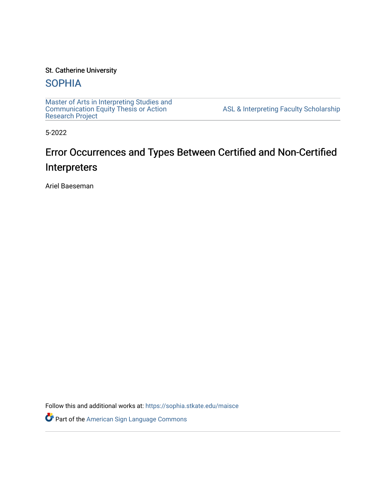### St. Catherine University

## **SOPHIA**

[Master of Arts in Interpreting Studies and](https://sophia.stkate.edu/maisce) [Communication Equity Thesis or Action](https://sophia.stkate.edu/maisce)  [Research Project](https://sophia.stkate.edu/maisce) 

[ASL & Interpreting Faculty Scholarship](https://sophia.stkate.edu/asl_fac) 

5-2022

# Error Occurrences and Types Between Certified and Non-Certified Interpreters

Ariel Baeseman

Follow this and additional works at: [https://sophia.stkate.edu/maisce](https://sophia.stkate.edu/maisce?utm_source=sophia.stkate.edu%2Fmaisce%2F47&utm_medium=PDF&utm_campaign=PDFCoverPages) 

Part of the [American Sign Language Commons](https://network.bepress.com/hgg/discipline/1402?utm_source=sophia.stkate.edu%2Fmaisce%2F47&utm_medium=PDF&utm_campaign=PDFCoverPages)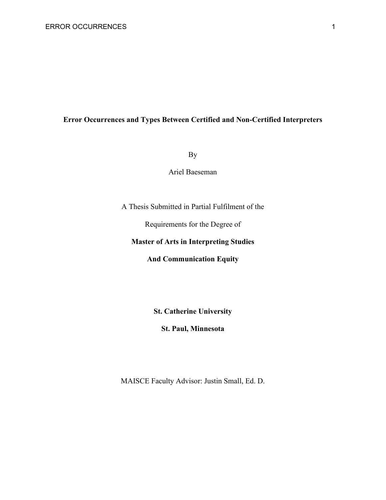## **Error Occurrences and Types Between Certified and Non-Certified Interpreters**

By

Ariel Baeseman

A Thesis Submitted in Partial Fulfilment of the

Requirements for the Degree of

#### **Master of Arts in Interpreting Studies**

**And Communication Equity**

**St. Catherine University**

**St. Paul, Minnesota**

MAISCE Faculty Advisor: Justin Small, Ed. D.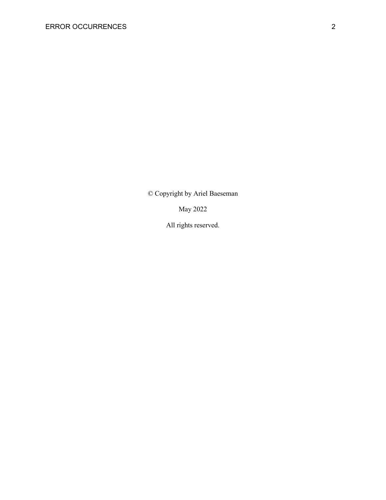© Copyright by Ariel Baeseman

May 2022

All rights reserved.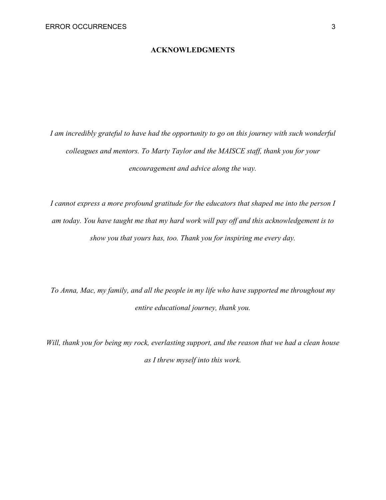#### **ACKNOWLEDGMENTS**

<span id="page-3-0"></span>*I am incredibly grateful to have had the opportunity to go on this journey with such wonderful colleagues and mentors. To Marty Taylor and the MAISCE staff, thank you for your encouragement and advice along the way.*

*I cannot express a more profound gratitude for the educators that shaped me into the person I am today. You have taught me that my hard work will pay off and this acknowledgement is to show you that yours has, too. Thank you for inspiring me every day.* 

*To Anna, Mac, my family, and all the people in my life who have supported me throughout my entire educational journey, thank you.*

*Will, thank you for being my rock, everlasting support, and the reason that we had a clean house as I threw myself into this work.*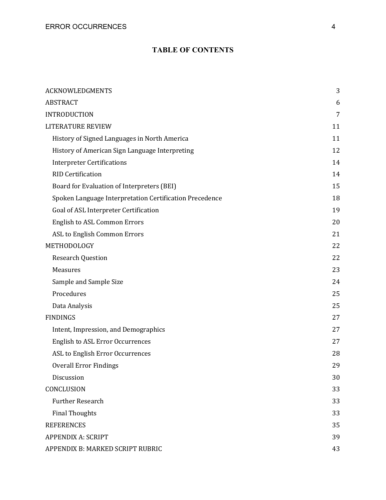## **TABLE OF CONTENTS**

| <b>ACKNOWLEDGMENTS</b>                                  | 3  |
|---------------------------------------------------------|----|
| <b>ABSTRACT</b>                                         | 6  |
| <b>INTRODUCTION</b>                                     | 7  |
| <b>LITERATURE REVIEW</b>                                | 11 |
| History of Signed Languages in North America            | 11 |
| History of American Sign Language Interpreting          | 12 |
| <b>Interpreter Certifications</b>                       | 14 |
| <b>RID Certification</b>                                | 14 |
| Board for Evaluation of Interpreters (BEI)              | 15 |
| Spoken Language Interpretation Certification Precedence | 18 |
| Goal of ASL Interpreter Certification                   | 19 |
| <b>English to ASL Common Errors</b>                     | 20 |
| ASL to English Common Errors                            | 21 |
| METHODOLOGY                                             | 22 |
| <b>Research Question</b>                                | 22 |
| Measures                                                | 23 |
| Sample and Sample Size                                  | 24 |
| Procedures                                              | 25 |
| Data Analysis                                           | 25 |
| <b>FINDINGS</b>                                         | 27 |
| Intent, Impression, and Demographics                    | 27 |
| <b>English to ASL Error Occurrences</b>                 | 27 |
| ASL to English Error Occurrences                        | 28 |
| <b>Overall Error Findings</b>                           | 29 |
| Discussion                                              | 30 |
| CONCLUSION                                              | 33 |
| <b>Further Research</b>                                 | 33 |
| <b>Final Thoughts</b>                                   | 33 |
| <b>REFERENCES</b>                                       | 35 |
| <b>APPENDIX A: SCRIPT</b>                               | 39 |
| APPENDIX B: MARKED SCRIPT RUBRIC                        | 43 |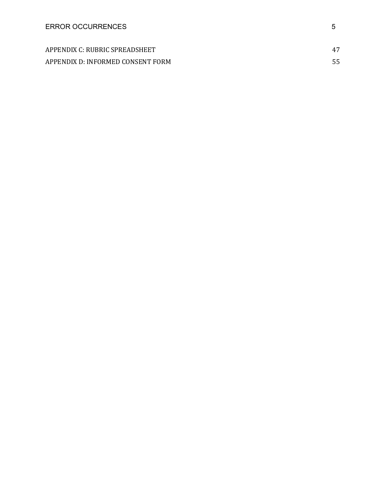| APPENDIX C: RUBRIC SPREADSHEET    |  |
|-----------------------------------|--|
| APPENDIX D: INFORMED CONSENT FORM |  |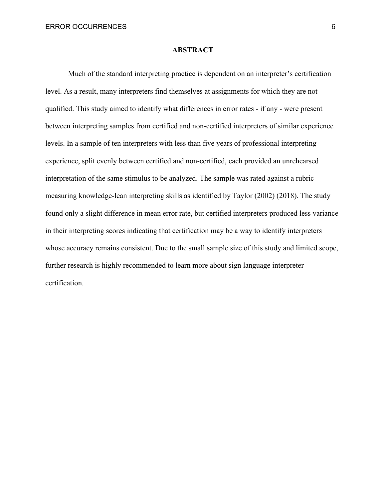#### **ABSTRACT**

<span id="page-6-0"></span>Much of the standard interpreting practice is dependent on an interpreter's certification level. As a result, many interpreters find themselves at assignments for which they are not qualified. This study aimed to identify what differences in error rates - if any - were present between interpreting samples from certified and non-certified interpreters of similar experience levels. In a sample of ten interpreters with less than five years of professional interpreting experience, split evenly between certified and non-certified, each provided an unrehearsed interpretation of the same stimulus to be analyzed. The sample was rated against a rubric measuring knowledge-lean interpreting skills as identified by Taylor (2002) (2018). The study found only a slight difference in mean error rate, but certified interpreters produced less variance in their interpreting scores indicating that certification may be a way to identify interpreters whose accuracy remains consistent. Due to the small sample size of this study and limited scope, further research is highly recommended to learn more about sign language interpreter certification.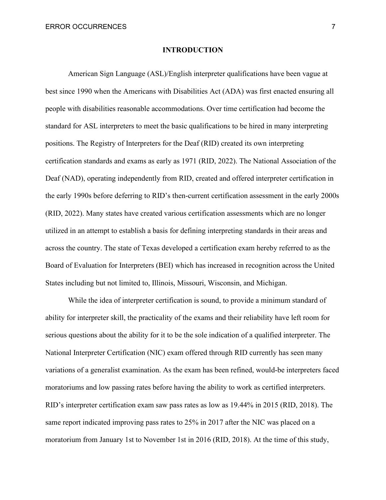#### **INTRODUCTION**

<span id="page-7-0"></span>American Sign Language (ASL)/English interpreter qualifications have been vague at best since 1990 when the Americans with Disabilities Act (ADA) was first enacted ensuring all people with disabilities reasonable accommodations. Over time certification had become the standard for ASL interpreters to meet the basic qualifications to be hired in many interpreting positions. The Registry of Interpreters for the Deaf (RID) created its own interpreting certification standards and exams as early as 1971 (RID, 2022). The National Association of the Deaf (NAD), operating independently from RID, created and offered interpreter certification in the early 1990s before deferring to RID's then-current certification assessment in the early 2000s (RID, 2022). Many states have created various certification assessments which are no longer utilized in an attempt to establish a basis for defining interpreting standards in their areas and across the country. The state of Texas developed a certification exam hereby referred to as the Board of Evaluation for Interpreters (BEI) which has increased in recognition across the United States including but not limited to, Illinois, Missouri, Wisconsin, and Michigan.

While the idea of interpreter certification is sound, to provide a minimum standard of ability for interpreter skill, the practicality of the exams and their reliability have left room for serious questions about the ability for it to be the sole indication of a qualified interpreter. The National Interpreter Certification (NIC) exam offered through RID currently has seen many variations of a generalist examination. As the exam has been refined, would-be interpreters faced moratoriums and low passing rates before having the ability to work as certified interpreters. RID's interpreter certification exam saw pass rates as low as 19.44% in 2015 (RID, 2018). The same report indicated improving pass rates to 25% in 2017 after the NIC was placed on a moratorium from January 1st to November 1st in 2016 (RID, 2018). At the time of this study,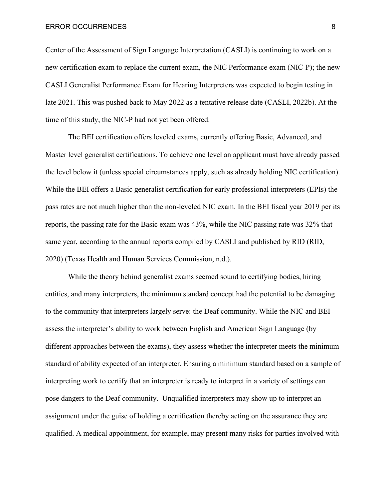Center of the Assessment of Sign Language Interpretation (CASLI) is continuing to work on a new certification exam to replace the current exam, the NIC Performance exam (NIC-P); the new CASLI Generalist Performance Exam for Hearing Interpreters was expected to begin testing in late 2021. This was pushed back to May 2022 as a tentative release date (CASLI, 2022b). At the time of this study, the NIC-P had not yet been offered.

The BEI certification offers leveled exams, currently offering Basic, Advanced, and Master level generalist certifications. To achieve one level an applicant must have already passed the level below it (unless special circumstances apply, such as already holding NIC certification). While the BEI offers a Basic generalist certification for early professional interpreters (EPIs) the pass rates are not much higher than the non-leveled NIC exam. In the BEI fiscal year 2019 per its reports, the passing rate for the Basic exam was 43%, while the NIC passing rate was 32% that same year, according to the annual reports compiled by CASLI and published by RID (RID, 2020) (Texas Health and Human Services Commission, n.d.).

While the theory behind generalist exams seemed sound to certifying bodies, hiring entities, and many interpreters, the minimum standard concept had the potential to be damaging to the community that interpreters largely serve: the Deaf community. While the NIC and BEI assess the interpreter's ability to work between English and American Sign Language (by different approaches between the exams), they assess whether the interpreter meets the minimum standard of ability expected of an interpreter. Ensuring a minimum standard based on a sample of interpreting work to certify that an interpreter is ready to interpret in a variety of settings can pose dangers to the Deaf community. Unqualified interpreters may show up to interpret an assignment under the guise of holding a certification thereby acting on the assurance they are qualified. A medical appointment, for example, may present many risks for parties involved with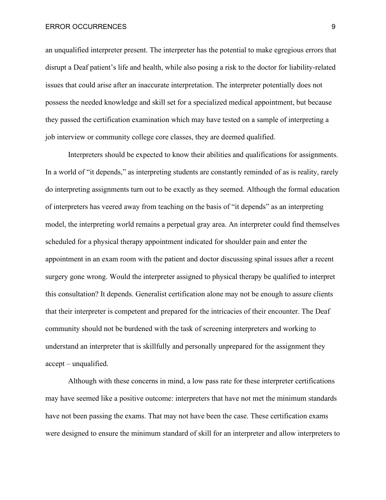#### ERROR OCCURRENCES 9

an unqualified interpreter present. The interpreter has the potential to make egregious errors that disrupt a Deaf patient's life and health, while also posing a risk to the doctor for liability-related issues that could arise after an inaccurate interpretation. The interpreter potentially does not possess the needed knowledge and skill set for a specialized medical appointment, but because they passed the certification examination which may have tested on a sample of interpreting a job interview or community college core classes, they are deemed qualified.

Interpreters should be expected to know their abilities and qualifications for assignments. In a world of "it depends," as interpreting students are constantly reminded of as is reality, rarely do interpreting assignments turn out to be exactly as they seemed. Although the formal education of interpreters has veered away from teaching on the basis of "it depends" as an interpreting model, the interpreting world remains a perpetual gray area. An interpreter could find themselves scheduled for a physical therapy appointment indicated for shoulder pain and enter the appointment in an exam room with the patient and doctor discussing spinal issues after a recent surgery gone wrong. Would the interpreter assigned to physical therapy be qualified to interpret this consultation? It depends. Generalist certification alone may not be enough to assure clients that their interpreter is competent and prepared for the intricacies of their encounter. The Deaf community should not be burdened with the task of screening interpreters and working to understand an interpreter that is skillfully and personally unprepared for the assignment they accept – unqualified.

Although with these concerns in mind, a low pass rate for these interpreter certifications may have seemed like a positive outcome: interpreters that have not met the minimum standards have not been passing the exams. That may not have been the case. These certification exams were designed to ensure the minimum standard of skill for an interpreter and allow interpreters to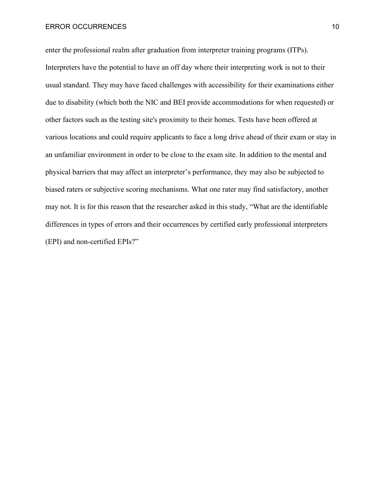enter the professional realm after graduation from interpreter training programs (ITPs). Interpreters have the potential to have an off day where their interpreting work is not to their usual standard. They may have faced challenges with accessibility for their examinations either due to disability (which both the NIC and BEI provide accommodations for when requested) or other factors such as the testing site's proximity to their homes. Tests have been offered at various locations and could require applicants to face a long drive ahead of their exam or stay in an unfamiliar environment in order to be close to the exam site. In addition to the mental and physical barriers that may affect an interpreter's performance, they may also be subjected to biased raters or subjective scoring mechanisms. What one rater may find satisfactory, another may not. It is for this reason that the researcher asked in this study, "What are the identifiable differences in types of errors and their occurrences by certified early professional interpreters (EPI) and non-certified EPIs?"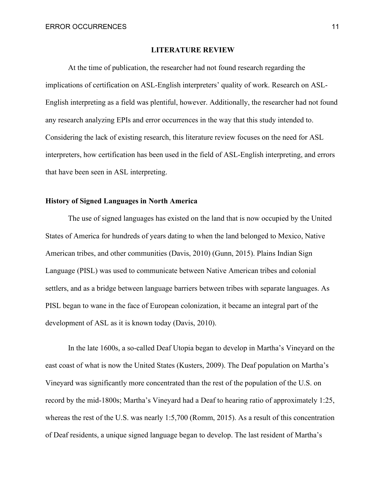#### **LITERATURE REVIEW**

<span id="page-11-0"></span>At the time of publication, the researcher had not found research regarding the implications of certification on ASL-English interpreters' quality of work. Research on ASL-English interpreting as a field was plentiful, however. Additionally, the researcher had not found any research analyzing EPIs and error occurrences in the way that this study intended to. Considering the lack of existing research, this literature review focuses on the need for ASL interpreters, how certification has been used in the field of ASL-English interpreting, and errors that have been seen in ASL interpreting.

#### <span id="page-11-1"></span>**History of Signed Languages in North America**

The use of signed languages has existed on the land that is now occupied by the United States of America for hundreds of years dating to when the land belonged to Mexico, Native American tribes, and other communities (Davis, 2010) (Gunn, 2015). Plains Indian Sign Language (PISL) was used to communicate between Native American tribes and colonial settlers, and as a bridge between language barriers between tribes with separate languages. As PISL began to wane in the face of European colonization, it became an integral part of the development of ASL as it is known today (Davis, 2010).

In the late 1600s, a so-called Deaf Utopia began to develop in Martha's Vineyard on the east coast of what is now the United States (Kusters, 2009). The Deaf population on Martha's Vineyard was significantly more concentrated than the rest of the population of the U.S. on record by the mid-1800s; Martha's Vineyard had a Deaf to hearing ratio of approximately 1:25, whereas the rest of the U.S. was nearly 1:5,700 (Romm, 2015). As a result of this concentration of Deaf residents, a unique signed language began to develop. The last resident of Martha's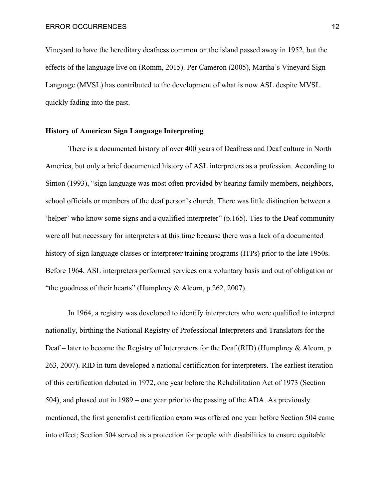Vineyard to have the hereditary deafness common on the island passed away in 1952, but the effects of the language live on (Romm, 2015). Per Cameron (2005), Martha's Vineyard Sign Language (MVSL) has contributed to the development of what is now ASL despite MVSL quickly fading into the past.

#### <span id="page-12-0"></span>**History of American Sign Language Interpreting**

There is a documented history of over 400 years of Deafness and Deaf culture in North America, but only a brief documented history of ASL interpreters as a profession. According to Simon (1993), "sign language was most often provided by hearing family members, neighbors, school officials or members of the deaf person's church. There was little distinction between a 'helper' who know some signs and a qualified interpreter" (p.165). Ties to the Deaf community were all but necessary for interpreters at this time because there was a lack of a documented history of sign language classes or interpreter training programs (ITPs) prior to the late 1950s. Before 1964, ASL interpreters performed services on a voluntary basis and out of obligation or "the goodness of their hearts" (Humphrey & Alcorn, p.262, 2007).

In 1964, a registry was developed to identify interpreters who were qualified to interpret nationally, birthing the National Registry of Professional Interpreters and Translators for the Deaf – later to become the Registry of Interpreters for the Deaf (RID) (Humphrey & Alcorn, p. 263, 2007). RID in turn developed a national certification for interpreters. The earliest iteration of this certification debuted in 1972, one year before the Rehabilitation Act of 1973 (Section 504), and phased out in 1989 – one year prior to the passing of the ADA. As previously mentioned, the first generalist certification exam was offered one year before Section 504 came into effect; Section 504 served as a protection for people with disabilities to ensure equitable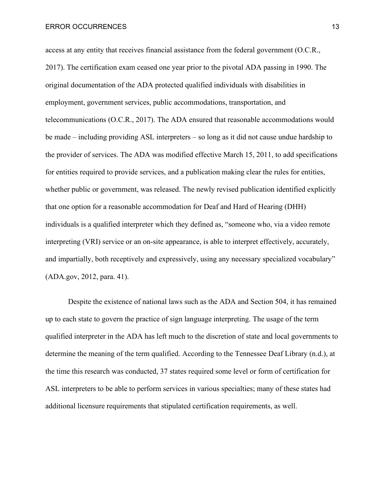access at any entity that receives financial assistance from the federal government (O.C.R., 2017). The certification exam ceased one year prior to the pivotal ADA passing in 1990. The original documentation of the ADA protected qualified individuals with disabilities in employment, government services, public accommodations, transportation, and telecommunications (O.C.R., 2017). The ADA ensured that reasonable accommodations would be made – including providing ASL interpreters – so long as it did not cause undue hardship to the provider of services. The ADA was modified effective March 15, 2011, to add specifications for entities required to provide services, and a publication making clear the rules for entities, whether public or government, was released. The newly revised publication identified explicitly that one option for a reasonable accommodation for Deaf and Hard of Hearing (DHH) individuals is a qualified interpreter which they defined as, "someone who, via a video remote interpreting (VRI) service or an on-site appearance, is able to interpret effectively, accurately, and impartially, both receptively and expressively, using any necessary specialized vocabulary" (ADA.gov, 2012, para. 41).

Despite the existence of national laws such as the ADA and Section 504, it has remained up to each state to govern the practice of sign language interpreting. The usage of the term qualified interpreter in the ADA has left much to the discretion of state and local governments to determine the meaning of the term qualified. According to the Tennessee Deaf Library (n.d.), at the time this research was conducted, 37 states required some level or form of certification for ASL interpreters to be able to perform services in various specialties; many of these states had additional licensure requirements that stipulated certification requirements, as well.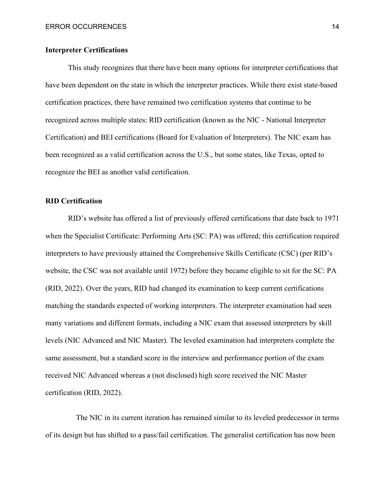#### <span id="page-14-0"></span>**Interpreter Certifications**

This study recognizes that there have been many options for interpreter certifications that have been dependent on the state in which the interpreter practices. While there exist state-based certification practices, there have remained two certification systems that continue to be recognized across multiple states: RID certification (known as the NIC - National Interpreter Certification) and BEI certifications (Board for Evaluation of Interpreters). The NIC exam has been recognized as a valid certification across the U.S., but some states, like Texas, opted to recognize the BEI as another valid certification.

#### <span id="page-14-1"></span>**RID Certification**

RID's website has offered a list of previously offered certifications that date back to 1971 when the Specialist Certificate: Performing Arts (SC: PA) was offered; this certification required interpreters to have previously attained the Comprehensive Skills Certificate (CSC) (per RID's website, the CSC was not available until 1972) before they became eligible to sit for the SC: PA (RID, 2022). Over the years, RID had changed its examination to keep current certifications matching the standards expected of working interpreters. The interpreter examination had seen many variations and different formats, including a NIC exam that assessed interpreters by skill levels (NIC Advanced and NIC Master). The leveled examination had interpreters complete the same assessment, but a standard score in the interview and performance portion of the exam received NIC Advanced whereas a (not disclosed) high score received the NIC Master certification (RID, 2022).

 The NIC in its current iteration has remained similar to its leveled predecessor in terms of its design but has shifted to a pass/fail certification. The generalist certification has now been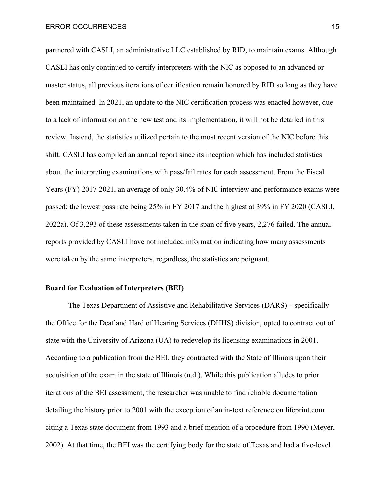partnered with CASLI, an administrative LLC established by RID, to maintain exams. Although CASLI has only continued to certify interpreters with the NIC as opposed to an advanced or master status, all previous iterations of certification remain honored by RID so long as they have been maintained. In 2021, an update to the NIC certification process was enacted however, due to a lack of information on the new test and its implementation, it will not be detailed in this review. Instead, the statistics utilized pertain to the most recent version of the NIC before this shift. CASLI has compiled an annual report since its inception which has included statistics about the interpreting examinations with pass/fail rates for each assessment. From the Fiscal Years (FY) 2017-2021, an average of only 30.4% of NIC interview and performance exams were passed; the lowest pass rate being 25% in FY 2017 and the highest at 39% in FY 2020 (CASLI, 2022a). Of 3,293 of these assessments taken in the span of five years, 2,276 failed. The annual reports provided by CASLI have not included information indicating how many assessments were taken by the same interpreters, regardless, the statistics are poignant.

#### <span id="page-15-0"></span>**Board for Evaluation of Interpreters (BEI)**

The Texas Department of Assistive and Rehabilitative Services (DARS) – specifically the Office for the Deaf and Hard of Hearing Services (DHHS) division, opted to contract out of state with the University of Arizona (UA) to redevelop its licensing examinations in 2001. According to a publication from the BEI, they contracted with the State of Illinois upon their acquisition of the exam in the state of Illinois (n.d.). While this publication alludes to prior iterations of the BEI assessment, the researcher was unable to find reliable documentation detailing the history prior to 2001 with the exception of an in-text reference on lifeprint.com citing a Texas state document from 1993 and a brief mention of a procedure from 1990 (Meyer, 2002). At that time, the BEI was the certifying body for the state of Texas and had a five-level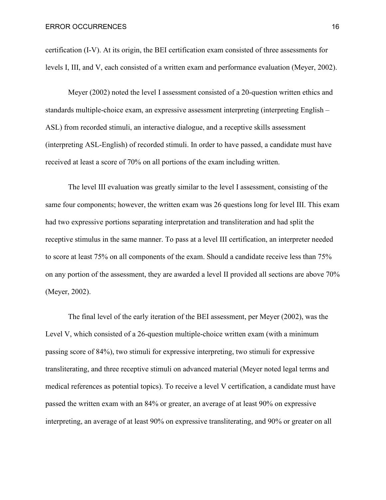certification (I-V). At its origin, the BEI certification exam consisted of three assessments for levels I, III, and V, each consisted of a written exam and performance evaluation (Meyer, 2002).

Meyer (2002) noted the level I assessment consisted of a 20-question written ethics and standards multiple-choice exam, an expressive assessment interpreting (interpreting English – ASL) from recorded stimuli, an interactive dialogue, and a receptive skills assessment (interpreting ASL-English) of recorded stimuli. In order to have passed, a candidate must have received at least a score of 70% on all portions of the exam including written.

The level III evaluation was greatly similar to the level I assessment, consisting of the same four components; however, the written exam was 26 questions long for level III. This exam had two expressive portions separating interpretation and transliteration and had split the receptive stimulus in the same manner. To pass at a level III certification, an interpreter needed to score at least 75% on all components of the exam. Should a candidate receive less than 75% on any portion of the assessment, they are awarded a level II provided all sections are above 70% (Meyer, 2002).

The final level of the early iteration of the BEI assessment, per Meyer (2002), was the Level V, which consisted of a 26-question multiple-choice written exam (with a minimum passing score of 84%), two stimuli for expressive interpreting, two stimuli for expressive transliterating, and three receptive stimuli on advanced material (Meyer noted legal terms and medical references as potential topics). To receive a level V certification, a candidate must have passed the written exam with an 84% or greater, an average of at least 90% on expressive interpreting, an average of at least 90% on expressive transliterating, and 90% or greater on all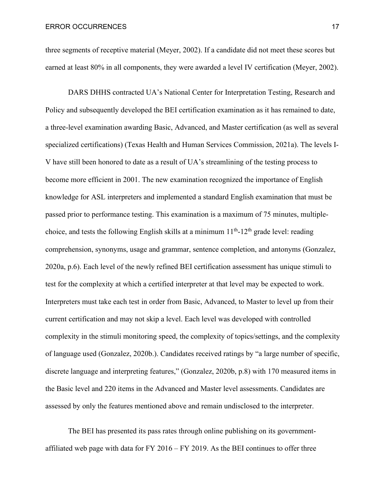three segments of receptive material (Meyer, 2002). If a candidate did not meet these scores but earned at least 80% in all components, they were awarded a level IV certification (Meyer, 2002).

DARS DHHS contracted UA's National Center for Interpretation Testing, Research and Policy and subsequently developed the BEI certification examination as it has remained to date, a three-level examination awarding Basic, Advanced, and Master certification (as well as several specialized certifications) (Texas Health and Human Services Commission, 2021a). The levels I-V have still been honored to date as a result of UA's streamlining of the testing process to become more efficient in 2001. The new examination recognized the importance of English knowledge for ASL interpreters and implemented a standard English examination that must be passed prior to performance testing. This examination is a maximum of 75 minutes, multiplechoice, and tests the following English skills at a minimum  $11^{th}$ - $12^{th}$  grade level: reading comprehension, synonyms, usage and grammar, sentence completion, and antonyms (Gonzalez, 2020a, p.6). Each level of the newly refined BEI certification assessment has unique stimuli to test for the complexity at which a certified interpreter at that level may be expected to work. Interpreters must take each test in order from Basic, Advanced, to Master to level up from their current certification and may not skip a level. Each level was developed with controlled complexity in the stimuli monitoring speed, the complexity of topics/settings, and the complexity of language used (Gonzalez, 2020b.). Candidates received ratings by "a large number of specific, discrete language and interpreting features," (Gonzalez, 2020b, p.8) with 170 measured items in the Basic level and 220 items in the Advanced and Master level assessments. Candidates are assessed by only the features mentioned above and remain undisclosed to the interpreter.

The BEI has presented its pass rates through online publishing on its governmentaffiliated web page with data for FY 2016 – FY 2019. As the BEI continues to offer three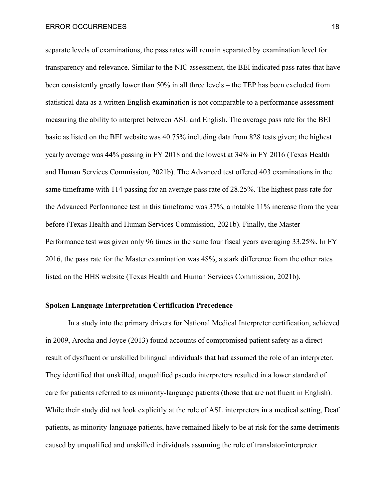separate levels of examinations, the pass rates will remain separated by examination level for transparency and relevance. Similar to the NIC assessment, the BEI indicated pass rates that have been consistently greatly lower than 50% in all three levels – the TEP has been excluded from statistical data as a written English examination is not comparable to a performance assessment measuring the ability to interpret between ASL and English. The average pass rate for the BEI basic as listed on the BEI website was 40.75% including data from 828 tests given; the highest yearly average was 44% passing in FY 2018 and the lowest at 34% in FY 2016 (Texas Health and Human Services Commission, 2021b). The Advanced test offered 403 examinations in the same timeframe with 114 passing for an average pass rate of 28.25%. The highest pass rate for the Advanced Performance test in this timeframe was 37%, a notable 11% increase from the year before (Texas Health and Human Services Commission, 2021b). Finally, the Master Performance test was given only 96 times in the same four fiscal years averaging 33.25%. In FY 2016, the pass rate for the Master examination was 48%, a stark difference from the other rates listed on the HHS website (Texas Health and Human Services Commission, 2021b).

#### <span id="page-18-0"></span>**Spoken Language Interpretation Certification Precedence**

In a study into the primary drivers for National Medical Interpreter certification, achieved in 2009, Arocha and Joyce (2013) found accounts of compromised patient safety as a direct result of dysfluent or unskilled bilingual individuals that had assumed the role of an interpreter. They identified that unskilled, unqualified pseudo interpreters resulted in a lower standard of care for patients referred to as minority-language patients (those that are not fluent in English). While their study did not look explicitly at the role of ASL interpreters in a medical setting, Deaf patients, as minority-language patients, have remained likely to be at risk for the same detriments caused by unqualified and unskilled individuals assuming the role of translator/interpreter.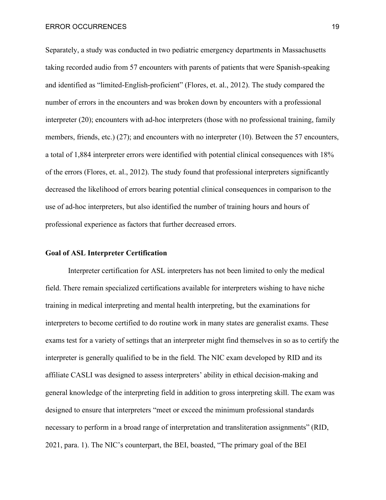Separately, a study was conducted in two pediatric emergency departments in Massachusetts taking recorded audio from 57 encounters with parents of patients that were Spanish-speaking and identified as "limited-English-proficient" (Flores, et. al., 2012). The study compared the number of errors in the encounters and was broken down by encounters with a professional interpreter (20); encounters with ad-hoc interpreters (those with no professional training, family members, friends, etc.) (27); and encounters with no interpreter (10). Between the 57 encounters, a total of 1,884 interpreter errors were identified with potential clinical consequences with 18% of the errors (Flores, et. al., 2012). The study found that professional interpreters significantly decreased the likelihood of errors bearing potential clinical consequences in comparison to the use of ad-hoc interpreters, but also identified the number of training hours and hours of professional experience as factors that further decreased errors.

#### <span id="page-19-0"></span>**Goal of ASL Interpreter Certification**

Interpreter certification for ASL interpreters has not been limited to only the medical field. There remain specialized certifications available for interpreters wishing to have niche training in medical interpreting and mental health interpreting, but the examinations for interpreters to become certified to do routine work in many states are generalist exams. These exams test for a variety of settings that an interpreter might find themselves in so as to certify the interpreter is generally qualified to be in the field. The NIC exam developed by RID and its affiliate CASLI was designed to assess interpreters' ability in ethical decision-making and general knowledge of the interpreting field in addition to gross interpreting skill. The exam was designed to ensure that interpreters "meet or exceed the minimum professional standards necessary to perform in a broad range of interpretation and transliteration assignments" (RID, 2021, para. 1). The NIC's counterpart, the BEI, boasted, "The primary goal of the BEI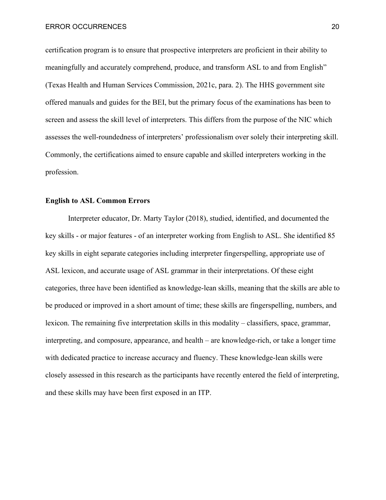certification program is to ensure that prospective interpreters are proficient in their ability to meaningfully and accurately comprehend, produce, and transform ASL to and from English" (Texas Health and Human Services Commission, 2021c, para. 2). The HHS government site offered manuals and guides for the BEI, but the primary focus of the examinations has been to screen and assess the skill level of interpreters. This differs from the purpose of the NIC which assesses the well-roundedness of interpreters' professionalism over solely their interpreting skill. Commonly, the certifications aimed to ensure capable and skilled interpreters working in the profession.

#### <span id="page-20-0"></span>**English to ASL Common Errors**

Interpreter educator, Dr. Marty Taylor (2018), studied, identified, and documented the key skills - or major features - of an interpreter working from English to ASL. She identified 85 key skills in eight separate categories including interpreter fingerspelling, appropriate use of ASL lexicon, and accurate usage of ASL grammar in their interpretations. Of these eight categories, three have been identified as knowledge-lean skills, meaning that the skills are able to be produced or improved in a short amount of time; these skills are fingerspelling, numbers, and lexicon. The remaining five interpretation skills in this modality – classifiers, space, grammar, interpreting, and composure, appearance, and health – are knowledge-rich, or take a longer time with dedicated practice to increase accuracy and fluency. These knowledge-lean skills were closely assessed in this research as the participants have recently entered the field of interpreting, and these skills may have been first exposed in an ITP.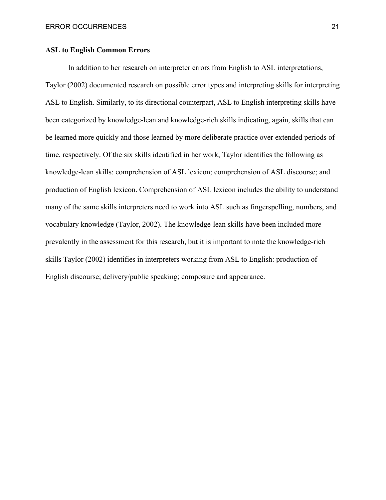#### <span id="page-21-0"></span>**ASL to English Common Errors**

In addition to her research on interpreter errors from English to ASL interpretations, Taylor (2002) documented research on possible error types and interpreting skills for interpreting ASL to English. Similarly, to its directional counterpart, ASL to English interpreting skills have been categorized by knowledge-lean and knowledge-rich skills indicating, again, skills that can be learned more quickly and those learned by more deliberate practice over extended periods of time, respectively. Of the six skills identified in her work, Taylor identifies the following as knowledge-lean skills: comprehension of ASL lexicon; comprehension of ASL discourse; and production of English lexicon. Comprehension of ASL lexicon includes the ability to understand many of the same skills interpreters need to work into ASL such as fingerspelling, numbers, and vocabulary knowledge (Taylor, 2002). The knowledge-lean skills have been included more prevalently in the assessment for this research, but it is important to note the knowledge-rich skills Taylor (2002) identifies in interpreters working from ASL to English: production of English discourse; delivery/public speaking; composure and appearance.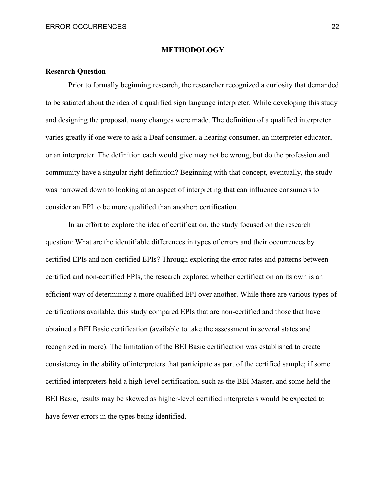#### **METHODOLOGY**

#### <span id="page-22-1"></span><span id="page-22-0"></span>**Research Question**

Prior to formally beginning research, the researcher recognized a curiosity that demanded to be satiated about the idea of a qualified sign language interpreter. While developing this study and designing the proposal, many changes were made. The definition of a qualified interpreter varies greatly if one were to ask a Deaf consumer, a hearing consumer, an interpreter educator, or an interpreter. The definition each would give may not be wrong, but do the profession and community have a singular right definition? Beginning with that concept, eventually, the study was narrowed down to looking at an aspect of interpreting that can influence consumers to consider an EPI to be more qualified than another: certification.

In an effort to explore the idea of certification, the study focused on the research question: What are the identifiable differences in types of errors and their occurrences by certified EPIs and non-certified EPIs? Through exploring the error rates and patterns between certified and non-certified EPIs, the research explored whether certification on its own is an efficient way of determining a more qualified EPI over another. While there are various types of certifications available, this study compared EPIs that are non-certified and those that have obtained a BEI Basic certification (available to take the assessment in several states and recognized in more). The limitation of the BEI Basic certification was established to create consistency in the ability of interpreters that participate as part of the certified sample; if some certified interpreters held a high-level certification, such as the BEI Master, and some held the BEI Basic, results may be skewed as higher-level certified interpreters would be expected to have fewer errors in the types being identified.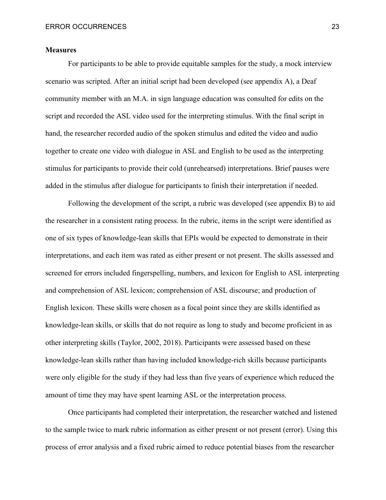#### <span id="page-23-0"></span>**Measures**

For participants to be able to provide equitable samples for the study, a mock interview scenario was scripted. After an initial script had been developed (see appendix A), a Deaf community member with an M.A. in sign language education was consulted for edits on the script and recorded the ASL video used for the interpreting stimulus. With the final script in hand, the researcher recorded audio of the spoken stimulus and edited the video and audio together to create one video with dialogue in ASL and English to be used as the interpreting stimulus for participants to provide their cold (unrehearsed) interpretations. Brief pauses were added in the stimulus after dialogue for participants to finish their interpretation if needed.

Following the development of the script, a rubric was developed (see appendix B) to aid the researcher in a consistent rating process. In the rubric, items in the script were identified as one of six types of knowledge-lean skills that EPIs would be expected to demonstrate in their interpretations, and each item was rated as either present or not present. The skills assessed and screened for errors included fingerspelling, numbers, and lexicon for English to ASL interpreting and comprehension of ASL lexicon; comprehension of ASL discourse; and production of English lexicon. These skills were chosen as a focal point since they are skills identified as knowledge-lean skills, or skills that do not require as long to study and become proficient in as other interpreting skills (Taylor, 2002, 2018). Participants were assessed based on these knowledge-lean skills rather than having included knowledge-rich skills because participants were only eligible for the study if they had less than five years of experience which reduced the amount of time they may have spent learning ASL or the interpretation process.

Once participants had completed their interpretation, the researcher watched and listened to the sample twice to mark rubric information as either present or not present (error). Using this process of error analysis and a fixed rubric aimed to reduce potential biases from the researcher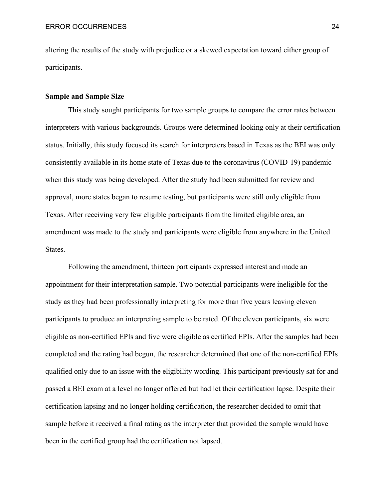altering the results of the study with prejudice or a skewed expectation toward either group of participants.

#### <span id="page-24-0"></span>**Sample and Sample Size**

This study sought participants for two sample groups to compare the error rates between interpreters with various backgrounds. Groups were determined looking only at their certification status. Initially, this study focused its search for interpreters based in Texas as the BEI was only consistently available in its home state of Texas due to the coronavirus (COVID-19) pandemic when this study was being developed. After the study had been submitted for review and approval, more states began to resume testing, but participants were still only eligible from Texas. After receiving very few eligible participants from the limited eligible area, an amendment was made to the study and participants were eligible from anywhere in the United States.

Following the amendment, thirteen participants expressed interest and made an appointment for their interpretation sample. Two potential participants were ineligible for the study as they had been professionally interpreting for more than five years leaving eleven participants to produce an interpreting sample to be rated. Of the eleven participants, six were eligible as non-certified EPIs and five were eligible as certified EPIs. After the samples had been completed and the rating had begun, the researcher determined that one of the non-certified EPIs qualified only due to an issue with the eligibility wording. This participant previously sat for and passed a BEI exam at a level no longer offered but had let their certification lapse. Despite their certification lapsing and no longer holding certification, the researcher decided to omit that sample before it received a final rating as the interpreter that provided the sample would have been in the certified group had the certification not lapsed.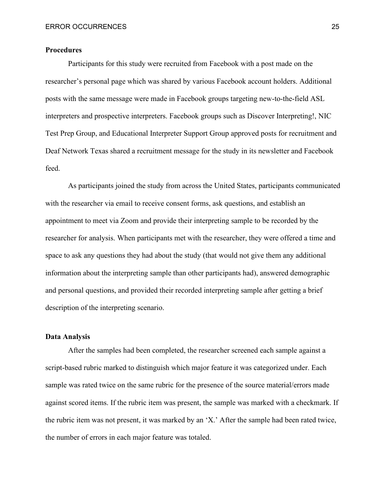#### <span id="page-25-0"></span>**Procedures**

Participants for this study were recruited from Facebook with a post made on the researcher's personal page which was shared by various Facebook account holders. Additional posts with the same message were made in Facebook groups targeting new-to-the-field ASL interpreters and prospective interpreters. Facebook groups such as Discover Interpreting!, NIC Test Prep Group, and Educational Interpreter Support Group approved posts for recruitment and Deaf Network Texas shared a recruitment message for the study in its newsletter and Facebook feed.

As participants joined the study from across the United States, participants communicated with the researcher via email to receive consent forms, ask questions, and establish an appointment to meet via Zoom and provide their interpreting sample to be recorded by the researcher for analysis. When participants met with the researcher, they were offered a time and space to ask any questions they had about the study (that would not give them any additional information about the interpreting sample than other participants had), answered demographic and personal questions, and provided their recorded interpreting sample after getting a brief description of the interpreting scenario.

#### <span id="page-25-1"></span>**Data Analysis**

After the samples had been completed, the researcher screened each sample against a script-based rubric marked to distinguish which major feature it was categorized under. Each sample was rated twice on the same rubric for the presence of the source material/errors made against scored items. If the rubric item was present, the sample was marked with a checkmark. If the rubric item was not present, it was marked by an 'X.' After the sample had been rated twice, the number of errors in each major feature was totaled.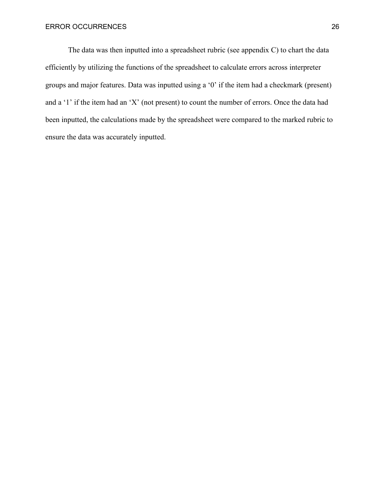The data was then inputted into a spreadsheet rubric (see appendix C) to chart the data efficiently by utilizing the functions of the spreadsheet to calculate errors across interpreter groups and major features. Data was inputted using a '0' if the item had a checkmark (present) and a '1' if the item had an 'X' (not present) to count the number of errors. Once the data had been inputted, the calculations made by the spreadsheet were compared to the marked rubric to ensure the data was accurately inputted.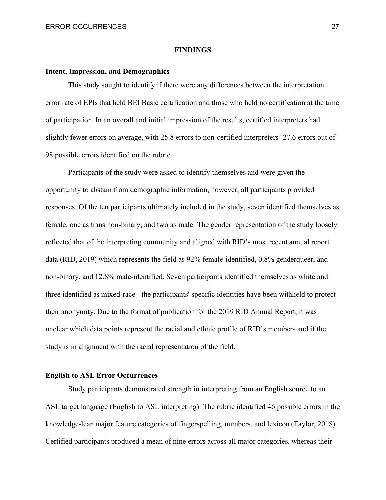#### **FINDINGS**

#### <span id="page-27-1"></span><span id="page-27-0"></span>**Intent, Impression, and Demographics**

This study sought to identify if there were any differences between the interpretation error rate of EPIs that held BEI Basic certification and those who held no certification at the time of participation. In an overall and initial impression of the results, certified interpreters had slightly fewer errors on average, with 25.8 errors to non-certified interpreters' 27.6 errors out of 98 possible errors identified on the rubric.

Participants of the study were asked to identify themselves and were given the opportunity to abstain from demographic information, however, all participants provided responses. Of the ten participants ultimately included in the study, seven identified themselves as female, one as trans non-binary, and two as male. The gender representation of the study loosely reflected that of the interpreting community and aligned with RID's most recent annual report data (RID, 2019) which represents the field as 92% female-identified, 0.8% genderqueer, and non-binary, and 12.8% male-identified. Seven participants identified themselves as white and three identified as mixed-race - the participants' specific identities have been withheld to protect their anonymity. Due to the format of publication for the 2019 RID Annual Report, it was unclear which data points represent the racial and ethnic profile of RID's members and if the study is in alignment with the racial representation of the field.

#### <span id="page-27-2"></span>**English to ASL Error Occurrences**

Study participants demonstrated strength in interpreting from an English source to an ASL target language (English to ASL interpreting). The rubric identified 46 possible errors in the knowledge-lean major feature categories of fingerspelling, numbers, and lexicon (Taylor, 2018). Certified participants produced a mean of nine errors across all major categories, whereas their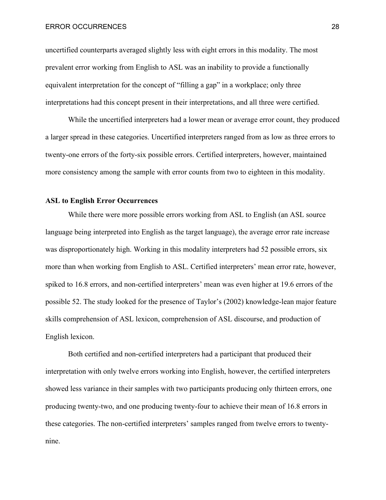uncertified counterparts averaged slightly less with eight errors in this modality. The most prevalent error working from English to ASL was an inability to provide a functionally equivalent interpretation for the concept of "filling a gap" in a workplace; only three interpretations had this concept present in their interpretations, and all three were certified.

While the uncertified interpreters had a lower mean or average error count, they produced a larger spread in these categories. Uncertified interpreters ranged from as low as three errors to twenty-one errors of the forty-six possible errors. Certified interpreters, however, maintained more consistency among the sample with error counts from two to eighteen in this modality.

#### <span id="page-28-0"></span>**ASL to English Error Occurrences**

While there were more possible errors working from ASL to English (an ASL source language being interpreted into English as the target language), the average error rate increase was disproportionately high. Working in this modality interpreters had 52 possible errors, six more than when working from English to ASL. Certified interpreters' mean error rate, however, spiked to 16.8 errors, and non-certified interpreters' mean was even higher at 19.6 errors of the possible 52. The study looked for the presence of Taylor's (2002) knowledge-lean major feature skills comprehension of ASL lexicon, comprehension of ASL discourse, and production of English lexicon.

Both certified and non-certified interpreters had a participant that produced their interpretation with only twelve errors working into English, however, the certified interpreters showed less variance in their samples with two participants producing only thirteen errors, one producing twenty-two, and one producing twenty-four to achieve their mean of 16.8 errors in these categories. The non-certified interpreters' samples ranged from twelve errors to twentynine.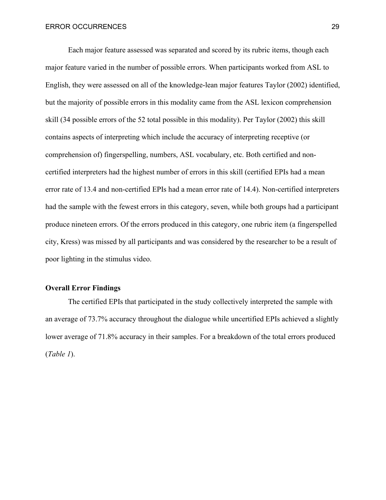Each major feature assessed was separated and scored by its rubric items, though each major feature varied in the number of possible errors. When participants worked from ASL to English, they were assessed on all of the knowledge-lean major features Taylor (2002) identified, but the majority of possible errors in this modality came from the ASL lexicon comprehension skill (34 possible errors of the 52 total possible in this modality). Per Taylor (2002) this skill contains aspects of interpreting which include the accuracy of interpreting receptive (or comprehension of) fingerspelling, numbers, ASL vocabulary, etc. Both certified and noncertified interpreters had the highest number of errors in this skill (certified EPIs had a mean error rate of 13.4 and non-certified EPIs had a mean error rate of 14.4). Non-certified interpreters had the sample with the fewest errors in this category, seven, while both groups had a participant produce nineteen errors. Of the errors produced in this category, one rubric item (a fingerspelled city, Kress) was missed by all participants and was considered by the researcher to be a result of poor lighting in the stimulus video.

#### <span id="page-29-0"></span>**Overall Error Findings**

The certified EPIs that participated in the study collectively interpreted the sample with an average of 73.7% accuracy throughout the dialogue while uncertified EPIs achieved a slightly lower average of 71.8% accuracy in their samples. For a breakdown of the total errors produced (*Table 1*).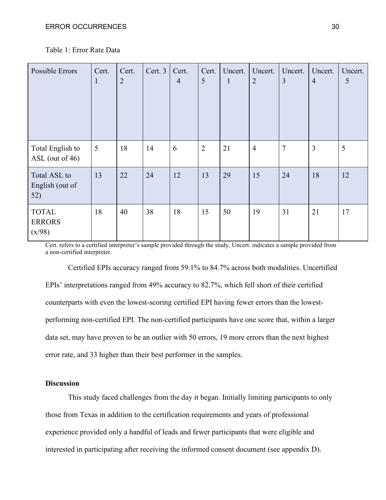| Possible Errors                        | Cert.<br>$\mathbf{1}$ | Cert.<br>$\overline{2}$ | Cert. 3 | Cert.<br>$\overline{4}$ | Cert.<br>5     | Uncert.<br>$\mathbf{1}$ | Uncert.<br>$\overline{2}$ | Uncert.<br>3   | Uncert.<br>$\overline{4}$ | Uncert.<br>5 |
|----------------------------------------|-----------------------|-------------------------|---------|-------------------------|----------------|-------------------------|---------------------------|----------------|---------------------------|--------------|
| Total English to<br>$ASL$ (out of 46)  | 5                     | 18                      | 14      | 6                       | $\overline{2}$ | 21                      | $\overline{4}$            | $\overline{7}$ | 3                         | 5            |
| Total ASL to<br>English (out of<br>52) | 13                    | 22                      | 24      | 12                      | 13             | 29                      | 15                        | 24             | 18                        | 12           |
| <b>TOTAL</b><br><b>ERRORS</b>          | 18                    | 40                      | 38      | 18                      | 15             | 50                      | 19                        | 31             | 21                        | 17           |

Table 1: Error Rate Data

Cert. refers to a certified interpreter's sample provided through the study. Uncert. indicates a sample provided from a non-certified interpreter.

Certified EPIs accuracy ranged from 59.1% to 84.7% across both modalities. Uncertified EPIs' interpretations ranged from 49% accuracy to 82.7%, which fell short of their certified counterparts with even the lowest-scoring certified EPI having fewer errors than the lowestperforming non-certified EPI. The non-certified participants have one score that, within a larger data set, may have proven to be an outlier with 50 errors, 19 more errors than the next highest error rate, and 33 higher than their best performer in the samples.

#### <span id="page-30-0"></span>**Discussion**

 $(x/98)$ 

This study faced challenges from the day it began. Initially limiting participants to only those from Texas in addition to the certification requirements and years of professional experience provided only a handful of leads and fewer participants that were eligible and interested in participating after receiving the informed consent document (see appendix D).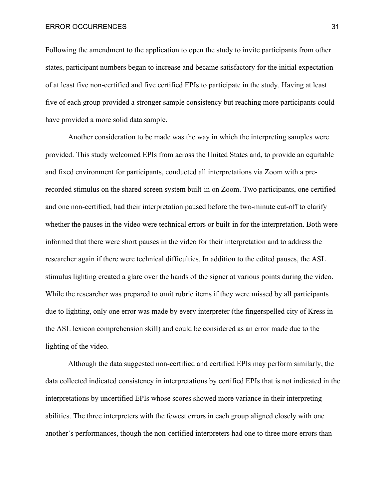ERROR OCCURRENCES 31

Following the amendment to the application to open the study to invite participants from other states, participant numbers began to increase and became satisfactory for the initial expectation of at least five non-certified and five certified EPIs to participate in the study. Having at least five of each group provided a stronger sample consistency but reaching more participants could have provided a more solid data sample.

Another consideration to be made was the way in which the interpreting samples were provided. This study welcomed EPIs from across the United States and, to provide an equitable and fixed environment for participants, conducted all interpretations via Zoom with a prerecorded stimulus on the shared screen system built-in on Zoom. Two participants, one certified and one non-certified, had their interpretation paused before the two-minute cut-off to clarify whether the pauses in the video were technical errors or built-in for the interpretation. Both were informed that there were short pauses in the video for their interpretation and to address the researcher again if there were technical difficulties. In addition to the edited pauses, the ASL stimulus lighting created a glare over the hands of the signer at various points during the video. While the researcher was prepared to omit rubric items if they were missed by all participants due to lighting, only one error was made by every interpreter (the fingerspelled city of Kress in the ASL lexicon comprehension skill) and could be considered as an error made due to the lighting of the video.

Although the data suggested non-certified and certified EPIs may perform similarly, the data collected indicated consistency in interpretations by certified EPIs that is not indicated in the interpretations by uncertified EPIs whose scores showed more variance in their interpreting abilities. The three interpreters with the fewest errors in each group aligned closely with one another's performances, though the non-certified interpreters had one to three more errors than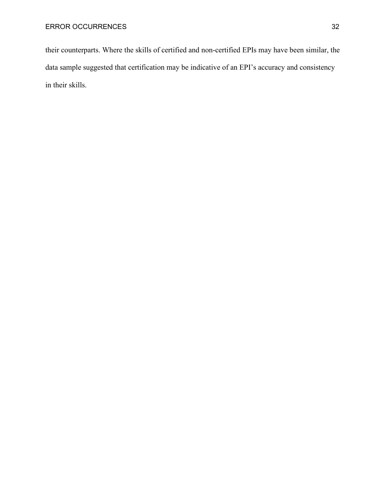their counterparts. Where the skills of certified and non-certified EPIs may have been similar, the data sample suggested that certification may be indicative of an EPI's accuracy and consistency in their skills.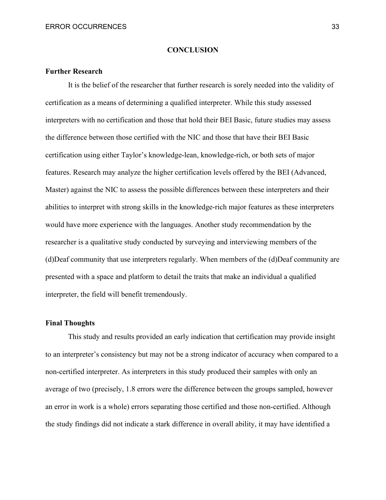#### **CONCLUSION**

#### <span id="page-33-1"></span><span id="page-33-0"></span>**Further Research**

It is the belief of the researcher that further research is sorely needed into the validity of certification as a means of determining a qualified interpreter. While this study assessed interpreters with no certification and those that hold their BEI Basic, future studies may assess the difference between those certified with the NIC and those that have their BEI Basic certification using either Taylor's knowledge-lean, knowledge-rich, or both sets of major features. Research may analyze the higher certification levels offered by the BEI (Advanced, Master) against the NIC to assess the possible differences between these interpreters and their abilities to interpret with strong skills in the knowledge-rich major features as these interpreters would have more experience with the languages. Another study recommendation by the researcher is a qualitative study conducted by surveying and interviewing members of the (d)Deaf community that use interpreters regularly. When members of the (d)Deaf community are presented with a space and platform to detail the traits that make an individual a qualified interpreter, the field will benefit tremendously.

#### <span id="page-33-2"></span>**Final Thoughts**

This study and results provided an early indication that certification may provide insight to an interpreter's consistency but may not be a strong indicator of accuracy when compared to a non-certified interpreter. As interpreters in this study produced their samples with only an average of two (precisely, 1.8 errors were the difference between the groups sampled, however an error in work is a whole) errors separating those certified and those non-certified. Although the study findings did not indicate a stark difference in overall ability, it may have identified a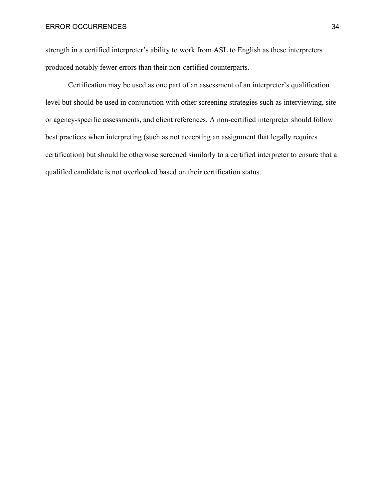strength in a certified interpreter's ability to work from ASL to English as these interpreters produced notably fewer errors than their non-certified counterparts.

Certification may be used as one part of an assessment of an interpreter's qualification level but should be used in conjunction with other screening strategies such as interviewing, siteor agency-specific assessments, and client references. A non-certified interpreter should follow best practices when interpreting (such as not accepting an assignment that legally requires certification) but should be otherwise screened similarly to a certified interpreter to ensure that a qualified candidate is not overlooked based on their certification status.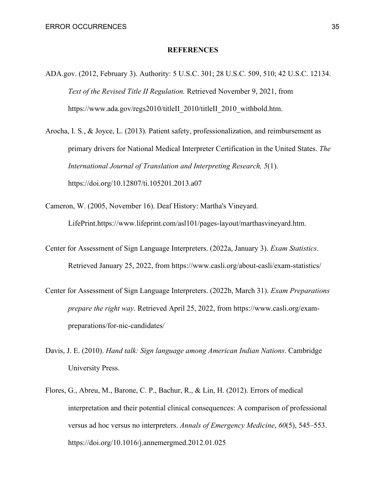#### **REFERENCES**

<span id="page-35-0"></span>ADA.gov. (2012, February 3). Authority: 5 U.S.C. 301; 28 U.S.C. 509, 510; 42 U.S.C. 12134. *Text of the Revised Title II Regulation.* Retrieved November 9, 2021, from https://www.ada.gov/regs2010/titleII\_2010/titleII\_2010\_withbold.htm.

Arocha, I. S., & Joyce, L. (2013). Patient safety, professionalization, and reimbursement as primary drivers for National Medical Interpreter Certification in the United States. *The International Journal of Translation and Interpreting Research, 5*(1). https://doi.org/10.12807/ti.105201.2013.a07

Cameron, W. (2005, November 16). Deaf History: Martha's Vineyard. LifePrint.https://www.lifeprint.com/asl101/pages-layout/marthasvineyard.htm.

- Center for Assessment of Sign Language Interpreters. (2022a, January 3). *Exam Statistics*. Retrieved January 25, 2022, from https://www.casli.org/about-casli/exam-statistics/
- Center for Assessment of Sign Language Interpreters. (2022b, March 31). *Exam Preparations prepare the right way*. Retrieved April 25, 2022, from https://www.casli.org/exampreparations/for-nic-candidates/
- Davis, J. E. (2010). *Hand talk: Sign language among American Indian Nations*. Cambridge University Press.
- Flores, G., Abreu, M., Barone, C. P., Bachur, R., & Lin, H. (2012). Errors of medical interpretation and their potential clinical consequences: A comparison of professional versus ad hoc versus no interpreters. *Annals of Emergency Medicine*, *60*(5), 545–553. https://doi.org/10.1016/j.annemergmed.2012.01.025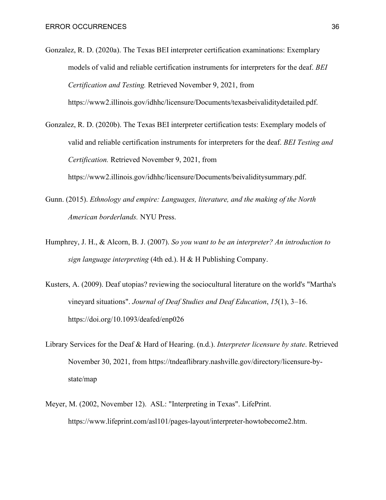- Gonzalez, R. D. (2020a). The Texas BEI interpreter certification examinations: Exemplary models of valid and reliable certification instruments for interpreters for the deaf. *BEI Certification and Testing.* Retrieved November 9, 2021, from https://www2.illinois.gov/idhhc/licensure/Documents/texasbeivaliditydetailed.pdf.
- Gonzalez, R. D. (2020b). The Texas BEI interpreter certification tests: Exemplary models of valid and reliable certification instruments for interpreters for the deaf. *BEI Testing and Certification.* Retrieved November 9, 2021, from https://www2.illinois.gov/idhhc/licensure/Documents/beivaliditysummary.pdf.
- Gunn. (2015). *Ethnology and empire: Languages, literature, and the making of the North American borderlands.* NYU Press.
- Humphrey, J. H., & Alcorn, B. J. (2007). *So you want to be an interpreter? An introduction to sign language interpreting* (4th ed.). H & H Publishing Company.
- Kusters, A. (2009). Deaf utopias? reviewing the sociocultural literature on the world's "Martha's vineyard situations". *Journal of Deaf Studies and Deaf Education*, *15*(1), 3–16. https://doi.org/10.1093/deafed/enp026
- Library Services for the Deaf & Hard of Hearing. (n.d.). *Interpreter licensure by state*. Retrieved November 30, 2021, from https://tndeaflibrary.nashville.gov/directory/licensure-bystate/map
- Meyer, M. (2002, November 12). ASL: "Interpreting in Texas". LifePrint. https://www.lifeprint.com/asl101/pages-layout/interpreter-howtobecome2.htm.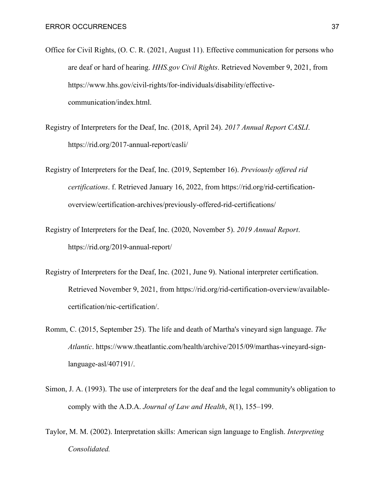- Office for Civil Rights, (O. C. R. (2021, August 11). Effective communication for persons who are deaf or hard of hearing. *HHS.gov Civil Rights*. Retrieved November 9, 2021, from https://www.hhs.gov/civil-rights/for-individuals/disability/effectivecommunication/index.html.
- Registry of Interpreters for the Deaf, Inc. (2018, April 24). *2017 Annual Report CASLI*. https://rid.org/2017-annual-report/casli/
- Registry of Interpreters for the Deaf, Inc. (2019, September 16). *Previously offered rid certifications*. f. Retrieved January 16, 2022, from https://rid.org/rid-certificationoverview/certification-archives/previously-offered-rid-certifications/
- Registry of Interpreters for the Deaf, Inc. (2020, November 5). *2019 Annual Report*. https://rid.org/2019-annual-report/
- Registry of Interpreters for the Deaf, Inc. (2021, June 9). National interpreter certification. Retrieved November 9, 2021, from https://rid.org/rid-certification-overview/availablecertification/nic-certification/.
- Romm, C. (2015, September 25). The life and death of Martha's vineyard sign language. *The Atlantic*. https://www.theatlantic.com/health/archive/2015/09/marthas-vineyard-signlanguage-asl/407191/.
- Simon, J. A. (1993). The use of interpreters for the deaf and the legal community's obligation to comply with the A.D.A. *Journal of Law and Health*, *8*(1), 155–199.
- Taylor, M. M. (2002). Interpretation skills: American sign language to English. *Interpreting Consolidated.*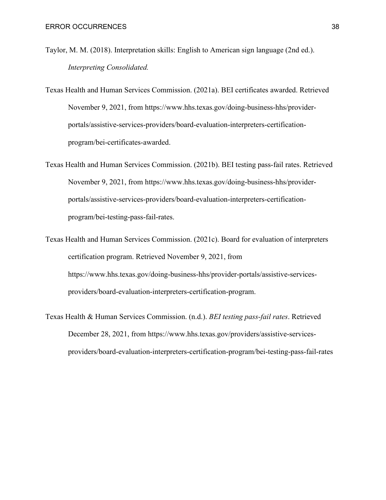- Taylor, M. M. (2018). Interpretation skills: English to American sign language (2nd ed.). *Interpreting Consolidated.*
- Texas Health and Human Services Commission. (2021a). BEI certificates awarded. Retrieved November 9, 2021, from https://www.hhs.texas.gov/doing-business-hhs/providerportals/assistive-services-providers/board-evaluation-interpreters-certificationprogram/bei-certificates-awarded.
- Texas Health and Human Services Commission. (2021b). BEI testing pass-fail rates. Retrieved November 9, 2021, from https://www.hhs.texas.gov/doing-business-hhs/providerportals/assistive-services-providers/board-evaluation-interpreters-certificationprogram/bei-testing-pass-fail-rates.
- Texas Health and Human Services Commission. (2021c). Board for evaluation of interpreters certification program. Retrieved November 9, 2021, from https://www.hhs.texas.gov/doing-business-hhs/provider-portals/assistive-servicesproviders/board-evaluation-interpreters-certification-program.
- Texas Health & Human Services Commission. (n.d.). *BEI testing pass-fail rates*. Retrieved December 28, 2021, from https://www.hhs.texas.gov/providers/assistive-servicesproviders/board-evaluation-interpreters-certification-program/bei-testing-pass-fail-rates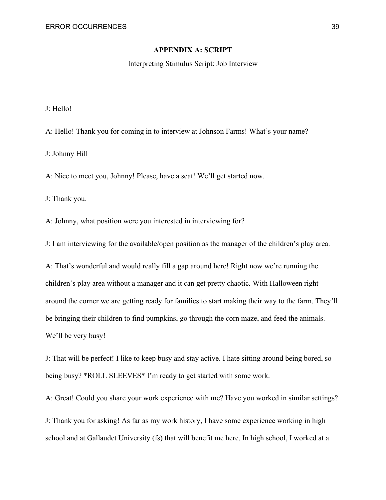#### **APPENDIX A: SCRIPT**

Interpreting Stimulus Script: Job Interview

<span id="page-39-0"></span>J: Hello!

A: Hello! Thank you for coming in to interview at Johnson Farms! What's your name?

J: Johnny Hill

A: Nice to meet you, Johnny! Please, have a seat! We'll get started now.

J: Thank you.

A: Johnny, what position were you interested in interviewing for?

J: I am interviewing for the available/open position as the manager of the children's play area.

A: That's wonderful and would really fill a gap around here! Right now we're running the children's play area without a manager and it can get pretty chaotic. With Halloween right around the corner we are getting ready for families to start making their way to the farm. They'll be bringing their children to find pumpkins, go through the corn maze, and feed the animals. We'll be very busy!

J: That will be perfect! I like to keep busy and stay active. I hate sitting around being bored, so being busy? \*ROLL SLEEVES\* I'm ready to get started with some work.

A: Great! Could you share your work experience with me? Have you worked in similar settings?

J: Thank you for asking! As far as my work history, I have some experience working in high school and at Gallaudet University (fs) that will benefit me here. In high school, I worked at a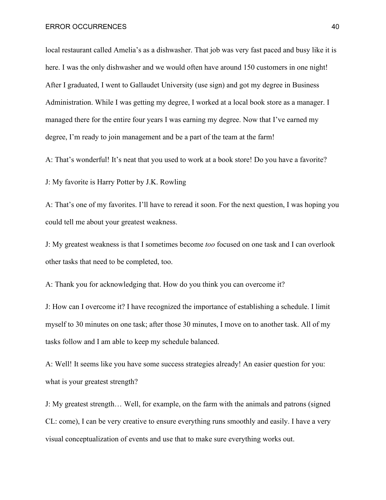local restaurant called Amelia's as a dishwasher. That job was very fast paced and busy like it is here. I was the only dishwasher and we would often have around 150 customers in one night! After I graduated, I went to Gallaudet University (use sign) and got my degree in Business Administration. While I was getting my degree, I worked at a local book store as a manager. I managed there for the entire four years I was earning my degree. Now that I've earned my degree, I'm ready to join management and be a part of the team at the farm!

A: That's wonderful! It's neat that you used to work at a book store! Do you have a favorite?

J: My favorite is Harry Potter by J.K. Rowling

A: That's one of my favorites. I'll have to reread it soon. For the next question, I was hoping you could tell me about your greatest weakness.

J: My greatest weakness is that I sometimes become *too* focused on one task and I can overlook other tasks that need to be completed, too.

A: Thank you for acknowledging that. How do you think you can overcome it?

J: How can I overcome it? I have recognized the importance of establishing a schedule. I limit myself to 30 minutes on one task; after those 30 minutes, I move on to another task. All of my tasks follow and I am able to keep my schedule balanced.

A: Well! It seems like you have some success strategies already! An easier question for you: what is your greatest strength?

J: My greatest strength… Well, for example, on the farm with the animals and patrons (signed CL: come), I can be very creative to ensure everything runs smoothly and easily. I have a very visual conceptualization of events and use that to make sure everything works out.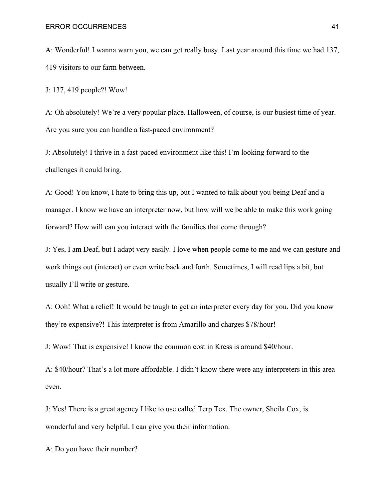A: Wonderful! I wanna warn you, we can get really busy. Last year around this time we had 137, 419 visitors to our farm between.

J: 137, 419 people?! Wow!

A: Oh absolutely! We're a very popular place. Halloween, of course, is our busiest time of year. Are you sure you can handle a fast-paced environment?

J: Absolutely! I thrive in a fast-paced environment like this! I'm looking forward to the challenges it could bring.

A: Good! You know, I hate to bring this up, but I wanted to talk about you being Deaf and a manager. I know we have an interpreter now, but how will we be able to make this work going forward? How will can you interact with the families that come through?

J: Yes, I am Deaf, but I adapt very easily. I love when people come to me and we can gesture and work things out (interact) or even write back and forth. Sometimes, I will read lips a bit, but usually I'll write or gesture.

A: Ooh! What a relief! It would be tough to get an interpreter every day for you. Did you know they're expensive?! This interpreter is from Amarillo and charges \$78/hour!

J: Wow! That is expensive! I know the common cost in Kress is around \$40/hour.

A: \$40/hour? That's a lot more affordable. I didn't know there were any interpreters in this area even.

J: Yes! There is a great agency I like to use called Terp Tex. The owner, Sheila Cox, is wonderful and very helpful. I can give you their information.

A: Do you have their number?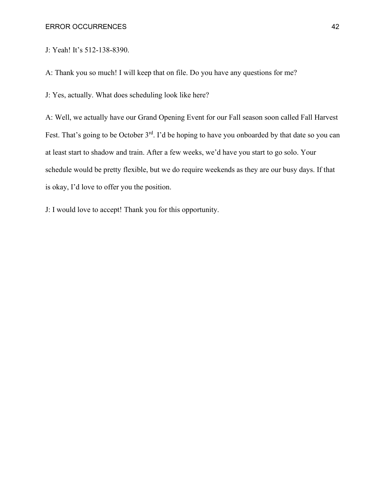J: Yeah! It's 512-138-8390.

A: Thank you so much! I will keep that on file. Do you have any questions for me?

J: Yes, actually. What does scheduling look like here?

A: Well, we actually have our Grand Opening Event for our Fall season soon called Fall Harvest Fest. That's going to be October 3<sup>rd</sup>. I'd be hoping to have you onboarded by that date so you can at least start to shadow and train. After a few weeks, we'd have you start to go solo. Your schedule would be pretty flexible, but we do require weekends as they are our busy days. If that is okay, I'd love to offer you the position.

J: I would love to accept! Thank you for this opportunity.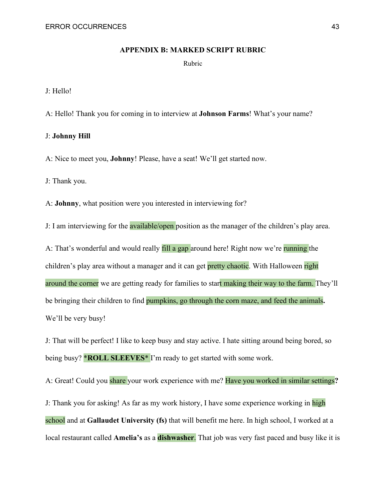#### **APPENDIX B: MARKED SCRIPT RUBRIC**

Rubric

<span id="page-43-0"></span>J: Hello!

A: Hello! Thank you for coming in to interview at **Johnson Farms**! What's your name?

#### J: **Johnny Hill**

A: Nice to meet you, **Johnny**! Please, have a seat! We'll get started now.

J: Thank you.

A: **Johnny**, what position were you interested in interviewing for?

J: I am interviewing for the **available/open** position as the manager of the children's play area.

A: That's wonderful and would really fill a gap around here! Right now we're running the children's play area without a manager and it can get pretty chaotic. With Halloween right around the corner we are getting ready for families to start making their way to the farm. They'll be bringing their children to find pumpkins, go through the corn maze, and feed the animals**.**  We'll be very busy!

J: That will be perfect! I like to keep busy and stay active. I hate sitting around being bored, so being busy? \***ROLL SLEEVES**\* I'm ready to get started with some work.

A: Great! Could you share your work experience with me? Have you worked in similar settings**?**

J: Thank you for asking! As far as my work history, I have some experience working in high school and at **Gallaudet University (fs)** that will benefit me here. In high school, I worked at a local restaurant called **Amelia's** as a **dishwasher**. That job was very fast paced and busy like it is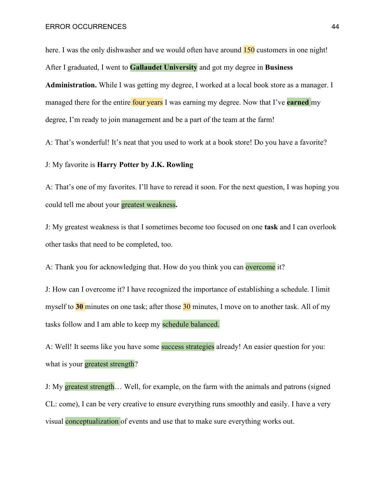here. I was the only dishwasher and we would often have around  $\frac{150}{150}$  customers in one night! After I graduated, I went to **Gallaudet University** and got my degree in **Business Administration.** While I was getting my degree, I worked at a local book store as a manager. I managed there for the entire four years I was earning my degree. Now that I've **earned** my degree, I'm ready to join management and be a part of the team at the farm!

A: That's wonderful! It's neat that you used to work at a book store! Do you have a favorite?

J: My favorite is **Harry Potter by J.K. Rowling**

A: That's one of my favorites. I'll have to reread it soon. For the next question, I was hoping you could tell me about your greatest weakness**.**

J: My greatest weakness is that I sometimes become too focused on one **task** and I can overlook other tasks that need to be completed, too.

A: Thank you for acknowledging that. How do you think you can overcome it?

J: How can I overcome it? I have recognized the importance of establishing a schedule. I limit myself to **30** minutes on one task; after those 30 minutes, I move on to another task. All of my tasks follow and I am able to keep my schedule balanced.

A: Well! It seems like you have some success strategies already! An easier question for you: what is your greatest strength?

J: My greatest strength… Well, for example, on the farm with the animals and patrons (signed CL: come), I can be very creative to ensure everything runs smoothly and easily. I have a very visual conceptualization of events and use that to make sure everything works out.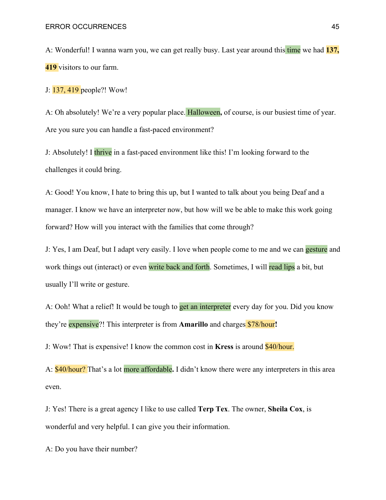A: Wonderful! I wanna warn you, we can get really busy. Last year around this time we had **137, 419** visitors to our farm.

J: 137, 419 people?! Wow!

A: Oh absolutely! We're a very popular place. Halloween**,** of course, is our busiest time of year. Are you sure you can handle a fast-paced environment?

J: Absolutely! I thrive in a fast-paced environment like this! I'm looking forward to the challenges it could bring.

A: Good! You know, I hate to bring this up, but I wanted to talk about you being Deaf and a manager. I know we have an interpreter now, but how will we be able to make this work going forward? How will you interact with the families that come through?

J: Yes, I am Deaf, but I adapt very easily. I love when people come to me and we can **gesture** and work things out (interact) or even write back and forth. Sometimes, I will read lips a bit, but usually I'll write or gesture.

A: Ooh! What a relief! It would be tough to get an interpreter every day for you. Did you know they're expensive?! This interpreter is from **Amarillo** and charges \$78/hour**!** 

J: Wow! That is expensive! I know the common cost in **Kress** is around \$40/hour.

A: \$40/hour? That's a lot more affordable**.** I didn't know there were any interpreters in this area even.

J: Yes! There is a great agency I like to use called **Terp Tex**. The owner, **Sheila Cox**, is wonderful and very helpful. I can give you their information.

A: Do you have their number?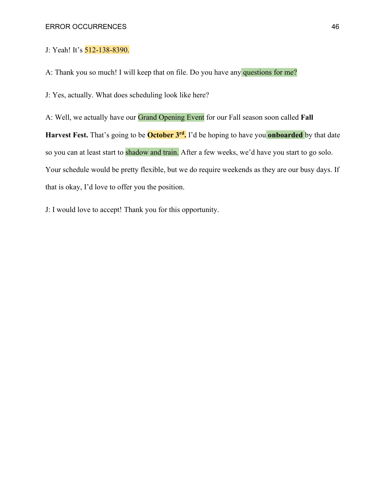J: Yeah! It's 512-138-8390.

A: Thank you so much! I will keep that on file. Do you have any questions for me?

J: Yes, actually. What does scheduling look like here?

A: Well, we actually have our Grand Opening Event for our Fall season soon called **Fall Harvest Fest.** That's going to be **October 3rd.** I'd be hoping to have you **onboarded** by that date so you can at least start to shadow and train. After a few weeks, we'd have you start to go solo. Your schedule would be pretty flexible, but we do require weekends as they are our busy days. If that is okay, I'd love to offer you the position.

J: I would love to accept! Thank you for this opportunity.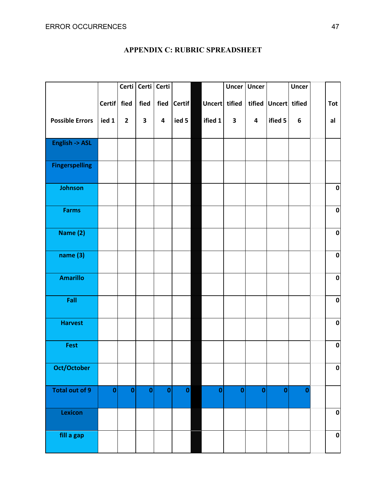<span id="page-47-0"></span>

|                        |               |              | Certi   Certi   Certi |                         |              |               | <b>Uncer</b> | <b>Uncer</b>            |                      | <b>Uncer</b> |             |
|------------------------|---------------|--------------|-----------------------|-------------------------|--------------|---------------|--------------|-------------------------|----------------------|--------------|-------------|
|                        | <b>Certif</b> | fied         | fied                  |                         | fied Certif  | Uncert tified |              |                         | tified Uncert tified |              | <b>Tot</b>  |
| <b>Possible Errors</b> | ied 1         | $\mathbf{2}$ | 3                     | $\overline{\mathbf{4}}$ | ied 5        | ified 1       | $\mathbf{3}$ | $\overline{\mathbf{4}}$ | ified 5              | 6            | al          |
|                        |               |              |                       |                         |              |               |              |                         |                      |              |             |
| English -> ASL         |               |              |                       |                         |              |               |              |                         |                      |              |             |
| <b>Fingerspelling</b>  |               |              |                       |                         |              |               |              |                         |                      |              |             |
| Johnson                |               |              |                       |                         |              |               |              |                         |                      |              | $\pmb{0}$   |
| <b>Farms</b>           |               |              |                       |                         |              |               |              |                         |                      |              | $\pmb{0}$   |
| Name (2)               |               |              |                       |                         |              |               |              |                         |                      |              | $\pmb{0}$   |
| name (3)               |               |              |                       |                         |              |               |              |                         |                      |              | $\pmb{0}$   |
| <b>Amarillo</b>        |               |              |                       |                         |              |               |              |                         |                      |              | $\pmb{0}$   |
| Fall                   |               |              |                       |                         |              |               |              |                         |                      |              | $\pmb{0}$   |
| <b>Harvest</b>         |               |              |                       |                         |              |               |              |                         |                      |              | $\pmb{0}$   |
| Fest                   |               |              |                       |                         |              |               |              |                         |                      |              | $\pmb{0}$   |
| Oct/October            |               |              |                       |                         |              |               |              |                         |                      |              | 0           |
| Total out of 9         | $\mathbf 0$   | $\pmb{0}$    | $\pmb{0}$             | $\mathbf 0$             | $\mathbf{0}$ | $\pmb{0}$     | $\pmb{0}$    | $\mathbf{0}$            | $\mathbf 0$          | $\bf{0}$     |             |
| Lexicon                |               |              |                       |                         |              |               |              |                         |                      |              | $\mathbf 0$ |
| fill a gap             |               |              |                       |                         |              |               |              |                         |                      |              | $\mathbf 0$ |

## **APPENDIX C: RUBRIC SPREADSHEET**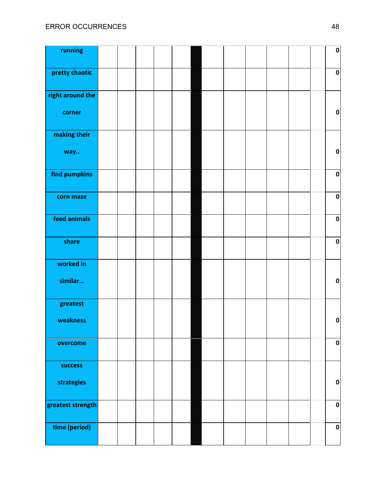| running           |  |  |  |  |  |  | $\pmb{0}$ |
|-------------------|--|--|--|--|--|--|-----------|
| pretty chaotic    |  |  |  |  |  |  | $\pmb{0}$ |
| right around the  |  |  |  |  |  |  |           |
| corner            |  |  |  |  |  |  | $\pmb{0}$ |
| making their      |  |  |  |  |  |  |           |
| way               |  |  |  |  |  |  | $\pmb{0}$ |
| find pumpkins     |  |  |  |  |  |  | $\pmb{0}$ |
| corn maze         |  |  |  |  |  |  | $\pmb{0}$ |
| feed animals      |  |  |  |  |  |  | $\pmb{0}$ |
| share             |  |  |  |  |  |  | $\pmb{0}$ |
| worked in         |  |  |  |  |  |  |           |
| similar           |  |  |  |  |  |  | $\pmb{0}$ |
| greatest          |  |  |  |  |  |  |           |
| weakness          |  |  |  |  |  |  | $\pmb{0}$ |
| overcome          |  |  |  |  |  |  | $\pmb{0}$ |
| success           |  |  |  |  |  |  |           |
| strategies        |  |  |  |  |  |  | $\pmb{0}$ |
| greatest strength |  |  |  |  |  |  | $\pmb{0}$ |
| time (period)     |  |  |  |  |  |  | $\pmb{0}$ |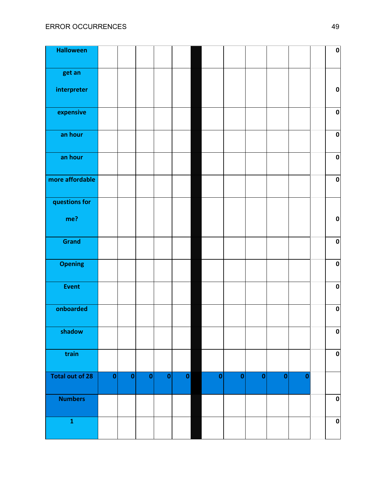| <b>Halloween</b>       |           |              |           |           |              |           |           |              |           |          | $\pmb{0}$    |
|------------------------|-----------|--------------|-----------|-----------|--------------|-----------|-----------|--------------|-----------|----------|--------------|
| get an                 |           |              |           |           |              |           |           |              |           |          |              |
| interpreter            |           |              |           |           |              |           |           |              |           |          | $\pmb{0}$    |
| expensive              |           |              |           |           |              |           |           |              |           |          | $\pmb{0}$    |
| an hour                |           |              |           |           |              |           |           |              |           |          | $\pmb{0}$    |
| an hour                |           |              |           |           |              |           |           |              |           |          | $\pmb{0}$    |
| more affordable        |           |              |           |           |              |           |           |              |           |          | $\pmb{0}$    |
| questions for          |           |              |           |           |              |           |           |              |           |          |              |
| me?                    |           |              |           |           |              |           |           |              |           |          | $\pmb{0}$    |
| Grand                  |           |              |           |           |              |           |           |              |           |          | $\pmb{0}$    |
| <b>Opening</b>         |           |              |           |           |              |           |           |              |           |          | $\pmb{0}$    |
| <b>Event</b>           |           |              |           |           |              |           |           |              |           |          | $\pmb{0}$    |
| onboarded              |           |              |           |           |              |           |           |              |           |          | $\pmb{0}$    |
| shadow                 |           |              |           |           |              |           |           |              |           |          | $\mathbf{0}$ |
| train                  |           |              |           |           |              |           |           |              |           |          | $\pmb{0}$    |
| <b>Total out of 28</b> | $\pmb{0}$ | $\mathbf{0}$ | $\pmb{0}$ | $\pmb{0}$ | $\mathbf{0}$ | $\pmb{0}$ | $\pmb{0}$ | $\mathbf{0}$ | $\pmb{0}$ | $\bf{0}$ |              |
| <b>Numbers</b>         |           |              |           |           |              |           |           |              |           |          | $\pmb{0}$    |
| $\mathbf 1$            |           |              |           |           |              |           |           |              |           |          | $\pmb{0}$    |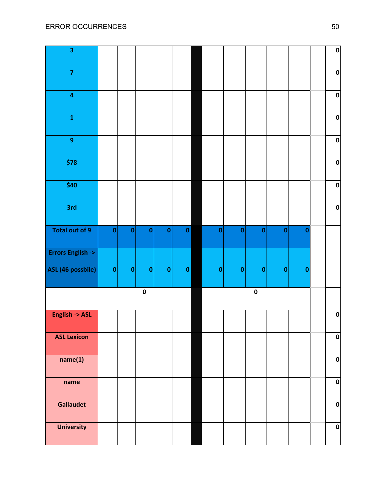| 3                           |             |              |           |           |              |           |           |              |             |          | $\pmb{0}$ |
|-----------------------------|-------------|--------------|-----------|-----------|--------------|-----------|-----------|--------------|-------------|----------|-----------|
| $\overline{7}$              |             |              |           |           |              |           |           |              |             |          | $\pmb{0}$ |
| $\overline{\mathbf{4}}$     |             |              |           |           |              |           |           |              |             |          | $\pmb{0}$ |
| $\mathbf 1$                 |             |              |           |           |              |           |           |              |             |          | $\pmb{0}$ |
| $\boldsymbol{9}$            |             |              |           |           |              |           |           |              |             |          | $\pmb{0}$ |
| \$78                        |             |              |           |           |              |           |           |              |             |          | $\pmb{0}$ |
| \$40                        |             |              |           |           |              |           |           |              |             |          | $\pmb{0}$ |
| 3rd                         |             |              |           |           |              |           |           |              |             |          | $\pmb{0}$ |
| Total out of 9              | $\mathbf 0$ | $\mathbf{0}$ | $\pmb{0}$ | $\pmb{0}$ | $\mathbf{0}$ | $\pmb{0}$ | $\bf{0}$  | $\mathbf{0}$ | $\pmb{0}$   | $\bf{0}$ |           |
| <b>Errors English -&gt;</b> |             |              |           |           |              |           |           |              |             |          |           |
| ASL (46 possbile)           | $\pmb{0}$   | 0            | $\pmb{0}$ | $\pmb{0}$ | 0            | $\pmb{0}$ | $\pmb{0}$ | $\mathbf{0}$ | $\mathbf 0$ | $\bf{0}$ |           |
|                             |             |              | $\pmb{0}$ |           |              |           |           | $\pmb{0}$    |             |          |           |
| <b>English -&gt; ASL</b>    |             |              |           |           |              |           |           |              |             |          | $\pmb{0}$ |
| <b>ASL Lexicon</b>          |             |              |           |           |              |           |           |              |             |          | $\pmb{0}$ |
| name(1)                     |             |              |           |           |              |           |           |              |             |          | $\pmb{0}$ |
| name                        |             |              |           |           |              |           |           |              |             |          | $\pmb{0}$ |
| Gallaudet                   |             |              |           |           |              |           |           |              |             |          | $\pmb{0}$ |
| <b>University</b>           |             |              |           |           |              |           |           |              |             |          | $\pmb{0}$ |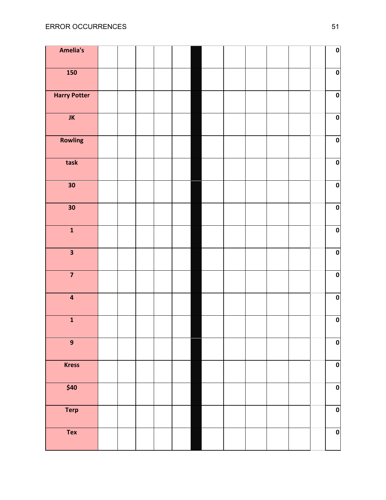| Amelia's                |  |  |  |  |  |  | $\mathbf{0}$ |
|-------------------------|--|--|--|--|--|--|--------------|
| <b>150</b>              |  |  |  |  |  |  | $\mathbf{0}$ |
| <b>Harry Potter</b>     |  |  |  |  |  |  | $\mathbf{0}$ |
| JK                      |  |  |  |  |  |  | $\mathbf{0}$ |
| <b>Rowling</b>          |  |  |  |  |  |  | $\mathbf{0}$ |
| task                    |  |  |  |  |  |  | $\mathbf{0}$ |
| 30                      |  |  |  |  |  |  | $\mathbf{0}$ |
| 30                      |  |  |  |  |  |  | $\mathbf{0}$ |
| $\overline{\mathbf{1}}$ |  |  |  |  |  |  | $\mathbf{0}$ |
| $\overline{\mathbf{3}}$ |  |  |  |  |  |  | $\pmb{0}$    |
| $\overline{\mathbf{z}}$ |  |  |  |  |  |  | $\pmb{0}$    |
| $\overline{\mathbf{4}}$ |  |  |  |  |  |  | $\pmb{0}$    |
| $\mathbf{1}$            |  |  |  |  |  |  | $\mathbf 0$  |
| $\overline{9}$          |  |  |  |  |  |  | $\mathbf{0}$ |
| <b>Kress</b>            |  |  |  |  |  |  | $\mathbf{0}$ |
| \$40                    |  |  |  |  |  |  | $\mathbf{0}$ |
| <b>Terp</b>             |  |  |  |  |  |  | $\mathbf{0}$ |
| Tex                     |  |  |  |  |  |  | $\mathbf{0}$ |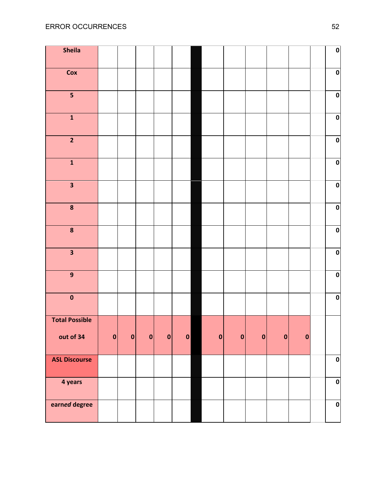| Sheila                  |   |   |              |           |             |             |              |   |   |           | $\pmb{0}$ |
|-------------------------|---|---|--------------|-----------|-------------|-------------|--------------|---|---|-----------|-----------|
| Cox                     |   |   |              |           |             |             |              |   |   |           | $\pmb{0}$ |
| $\overline{\mathbf{5}}$ |   |   |              |           |             |             |              |   |   |           | $\pmb{0}$ |
| $\mathbf{1}$            |   |   |              |           |             |             |              |   |   |           | $\pmb{0}$ |
| $\overline{2}$          |   |   |              |           |             |             |              |   |   |           | $\pmb{0}$ |
| $\mathbf{1}$            |   |   |              |           |             |             |              |   |   |           | $\pmb{0}$ |
| $\overline{\mathbf{3}}$ |   |   |              |           |             |             |              |   |   |           | $\pmb{0}$ |
| $\bf{8}$                |   |   |              |           |             |             |              |   |   |           | $\pmb{0}$ |
| $\pmb{8}$               |   |   |              |           |             |             |              |   |   |           | $\pmb{0}$ |
| $\overline{\mathbf{3}}$ |   |   |              |           |             |             |              |   |   |           | $\pmb{0}$ |
| $\boldsymbol{9}$        |   |   |              |           |             |             |              |   |   |           | $\pmb{0}$ |
| $\pmb{0}$               |   |   |              |           |             |             |              |   |   |           | $\pmb{0}$ |
| <b>Total Possible</b>   |   |   |              |           |             |             |              |   |   |           |           |
| out of 34               | 0 | 0 | $\mathbf{0}$ | $\pmb{0}$ | $\mathbf 0$ | $\mathbf 0$ | $\mathbf{0}$ | 0 | 0 | $\pmb{0}$ |           |
| <b>ASL Discourse</b>    |   |   |              |           |             |             |              |   |   |           | $\pmb{0}$ |
| 4 years                 |   |   |              |           |             |             |              |   |   |           | $\pmb{0}$ |
| earned degree           |   |   |              |           |             |             |              |   |   |           | $\pmb{0}$ |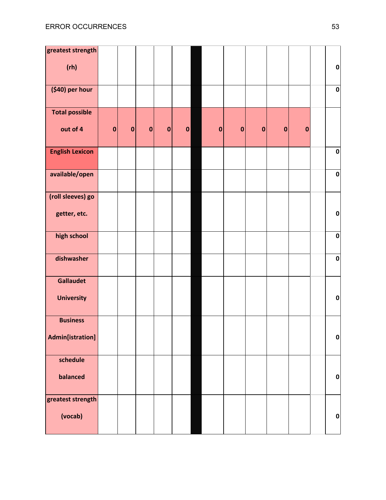| greatest strength                   |             |           |           |           |                  |           |           |             |           |          |              |
|-------------------------------------|-------------|-----------|-----------|-----------|------------------|-----------|-----------|-------------|-----------|----------|--------------|
| (rh)                                |             |           |           |           |                  |           |           |             |           |          | $\pmb{0}$    |
| (\$40) per hour                     |             |           |           |           |                  |           |           |             |           |          | $\pmb{0}$    |
| <b>Total possible</b>               |             |           |           |           |                  |           |           |             |           |          |              |
| out of 4                            | $\mathbf 0$ | $\pmb{0}$ | $\pmb{0}$ | $\pmb{0}$ | $\boldsymbol{0}$ | $\pmb{0}$ | $\pmb{0}$ | $\mathbf 0$ | $\pmb{0}$ | $\bf{0}$ |              |
| <b>English Lexicon</b>              |             |           |           |           |                  |           |           |             |           |          | $\pmb{0}$    |
| available/open                      |             |           |           |           |                  |           |           |             |           |          | $\pmb{0}$    |
| (roll sleeves) go<br>getter, etc.   |             |           |           |           |                  |           |           |             |           |          | $\pmb{0}$    |
| high school                         |             |           |           |           |                  |           |           |             |           |          | $\pmb{0}$    |
| dishwasher                          |             |           |           |           |                  |           |           |             |           |          | $\pmb{0}$    |
| <b>Gallaudet</b>                    |             |           |           |           |                  |           |           |             |           |          |              |
| <b>University</b>                   |             |           |           |           |                  |           |           |             |           |          | $\pmb{0}$    |
| <b>Business</b><br>Admin[istration] |             |           |           |           |                  |           |           |             |           |          | $\mathbf{0}$ |
| schedule<br>balanced                |             |           |           |           |                  |           |           |             |           |          | $\pmb{0}$    |
| greatest strength<br>(vocab)        |             |           |           |           |                  |           |           |             |           |          | $\pmb{0}$    |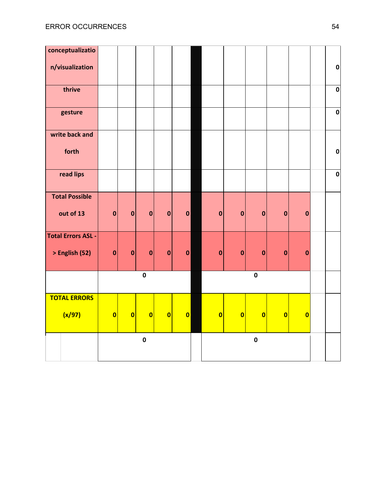| conceptualizatio          |                         |                         |                         |                         |                         |                         |                         |              |                         |                         |             |
|---------------------------|-------------------------|-------------------------|-------------------------|-------------------------|-------------------------|-------------------------|-------------------------|--------------|-------------------------|-------------------------|-------------|
| n/visualization           |                         |                         |                         |                         |                         |                         |                         |              |                         |                         | $\pmb{0}$   |
| thrive                    |                         |                         |                         |                         |                         |                         |                         |              |                         |                         | $\mathbf 0$ |
| gesture                   |                         |                         |                         |                         |                         |                         |                         |              |                         |                         | $\pmb{0}$   |
| write back and            |                         |                         |                         |                         |                         |                         |                         |              |                         |                         |             |
| forth                     |                         |                         |                         |                         |                         |                         |                         |              |                         |                         | $\mathbf 0$ |
| read lips                 |                         |                         |                         |                         |                         |                         |                         |              |                         |                         | $\mathbf 0$ |
| <b>Total Possible</b>     |                         |                         |                         |                         |                         |                         |                         |              |                         |                         |             |
| out of 13                 | $\mathbf 0$             | $\mathbf{0}$            | $\mathbf 0$             | $\mathbf 0$             | $\mathbf{0}$            | $\pmb{0}$               | $\pmb{0}$               | $\mathbf 0$  | $\mathbf 0$             | $\mathbf 0$             |             |
| <b>Total Errors ASL -</b> |                         |                         |                         |                         |                         |                         |                         |              |                         |                         |             |
| > English (52)            | $\pmb{0}$               | $\mathbf 0$             | $\mathbf 0$             | $\mathbf 0$             | $\mathbf 0$             | $\mathbf 0$             | $\mathbf 0$             | $\pmb{0}$    | $\mathbf 0$             | $\mathbf 0$             |             |
|                           |                         |                         | $\pmb{0}$               |                         |                         |                         |                         | $\pmb{0}$    |                         |                         |             |
| <b>TOTAL ERRORS</b>       |                         |                         |                         |                         |                         |                         |                         |              |                         |                         |             |
| (x/97)                    | $\overline{\mathbf{0}}$ | $\overline{\mathbf{0}}$ | $\overline{\mathbf{0}}$ | $\overline{\mathbf{0}}$ | $\overline{\mathbf{0}}$ | $\overline{\mathbf{0}}$ | $\overline{\mathbf{0}}$ | $\mathbf{0}$ | $\overline{\mathbf{0}}$ | $\overline{\mathbf{0}}$ |             |
|                           |                         |                         | $\pmb{0}$               |                         |                         |                         |                         | $\pmb{0}$    |                         |                         |             |
|                           |                         |                         |                         |                         |                         |                         |                         |              |                         |                         |             |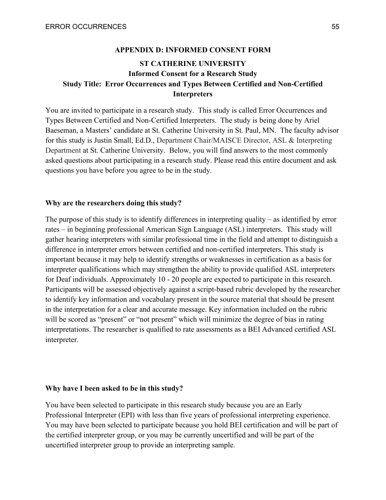#### **APPENDIX D: INFORMED CONSENT FORM**

## <span id="page-55-0"></span>**ST CATHERINE UNIVERSITY Informed Consent for a Research Study Study Title: Error Occurrences and Types Between Certified and Non-Certified Interpreters**

You are invited to participate in a research study. This study is called Error Occurrences and Types Between Certified and Non-Certified Interpreters. The study is being done by Ariel Baeseman, a Masters' candidate at St. Catherine University in St. Paul, MN. The faculty advisor for this study is Justin Small, Ed.D., Department Chair/MAISCE Director, ASL & Interpreting Department at St. Catherine University. Below, you will find answers to the most commonly asked questions about participating in a research study. Please read this entire document and ask questions you have before you agree to be in the study.

#### **Why are the researchers doing this study?**

The purpose of this study is to identify differences in interpreting quality – as identified by error rates – in beginning professional American Sign Language (ASL) interpreters. This study will gather hearing interpreters with similar professional time in the field and attempt to distinguish a difference in interpreter errors between certified and non-certified interpreters. This study is important because it may help to identify strengths or weaknesses in certification as a basis for interpreter qualifications which may strengthen the ability to provide qualified ASL interpreters for Deaf individuals. Approximately 10 - 20 people are expected to participate in this research. Participants will be assessed objectively against a script-based rubric developed by the researcher to identify key information and vocabulary present in the source material that should be present in the interpretation for a clear and accurate message. Key information included on the rubric will be scored as "present" or "not present" which will minimize the degree of bias in rating interpretations. The researcher is qualified to rate assessments as a BEI Advanced certified ASL interpreter.

#### **Why have I been asked to be in this study?**

You have been selected to participate in this research study because you are an Early Professional Interpreter (EPI) with less than five years of professional interpreting experience. You may have been selected to participate because you hold BEI certification and will be part of the certified interpreter group, or you may be currently uncertified and will be part of the uncertified interpreter group to provide an interpreting sample.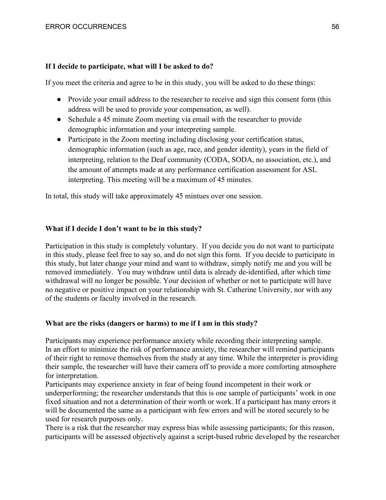### **If I decide to participate, what will I be asked to do?**

If you meet the criteria and agree to be in this study, you will be asked to do these things:

- Provide your email address to the researcher to receive and sign this consent form (this address will be used to provide your compensation, as well).
- Schedule a 45 minute Zoom meeting via email with the researcher to provide demographic information and your interpreting sample.
- Participate in the Zoom meeting including disclosing your certification status, demographic information (such as age, race, and gender identity), years in the field of interpreting, relation to the Deaf community (CODA, SODA, no association, etc.), and the amount of attempts made at any performance certification assessment for ASL interpreting. This meeting will be a maximum of 45 minutes.

In total, this study will take approximately 45 mintues over one session.

### **What if I decide I don't want to be in this study?**

Participation in this study is completely voluntary. If you decide you do not want to participate in this study, please feel free to say so, and do not sign this form. If you decide to participate in this study, but later change your mind and want to withdraw, simply notify me and you will be removed immediately. You may withdraw until data is already de-identified, after which time withdrawal will no longer be possible. Your decision of whether or not to participate will have no negative or positive impact on your relationship with St. Catherine University, nor with any of the students or faculty involved in the research.

### **What are the risks (dangers or harms) to me if I am in this study?**

Participants may experience performance anxiety while recording their interpreting sample. In an effort to minimize the risk of performance anxiety, the researcher will remind participants of their right to remove themselves from the study at any time. While the interpreter is providing their sample, the researcher will have their camera off to provide a more comforting atmosphere for interpretation.

Participants may experience anxiety in fear of being found incompetent in their work or underperforming; the researcher understands that this is one sample of participants' work in one fixed situation and not a determination of their worth or work. If a participant has many errors it will be documented the same as a participant with few errors and will be stored securely to be used for research purposes only.

There is a risk that the researcher may express bias while assessing participants; for this reason, participants will be assessed objectively against a script-based rubric developed by the researcher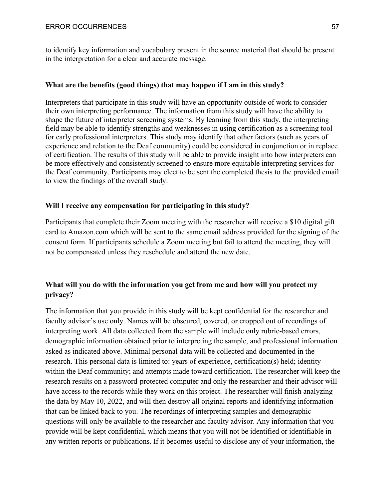to identify key information and vocabulary present in the source material that should be present in the interpretation for a clear and accurate message.

## **What are the benefits (good things) that may happen if I am in this study?**

Interpreters that participate in this study will have an opportunity outside of work to consider their own interpreting performance. The information from this study will have the ability to shape the future of interpreter screening systems. By learning from this study, the interpreting field may be able to identify strengths and weaknesses in using certification as a screening tool for early professional interpreters. This study may identify that other factors (such as years of experience and relation to the Deaf community) could be considered in conjunction or in replace of certification. The results of this study will be able to provide insight into how interpreters can be more effectively and consistently screened to ensure more equitable interpreting services for the Deaf community. Participants may elect to be sent the completed thesis to the provided email to view the findings of the overall study.

### **Will I receive any compensation for participating in this study?**

Participants that complete their Zoom meeting with the researcher will receive a \$10 digital gift card to Amazon.com which will be sent to the same email address provided for the signing of the consent form. If participants schedule a Zoom meeting but fail to attend the meeting, they will not be compensated unless they reschedule and attend the new date.

## **What will you do with the information you get from me and how will you protect my privacy?**

The information that you provide in this study will be kept confidential for the researcher and faculty advisor's use only. Names will be obscured, covered, or cropped out of recordings of interpreting work. All data collected from the sample will include only rubric-based errors, demographic information obtained prior to interpreting the sample, and professional information asked as indicated above. Minimal personal data will be collected and documented in the research. This personal data is limited to: years of experience, certification(s) held; identity within the Deaf community; and attempts made toward certification. The researcher will keep the research results on a password-protected computer and only the researcher and their advisor will have access to the records while they work on this project. The researcher will finish analyzing the data by May 10, 2022, and will then destroy all original reports and identifying information that can be linked back to you. The recordings of interpreting samples and demographic questions will only be available to the researcher and faculty advisor. Any information that you provide will be kept confidential, which means that you will not be identified or identifiable in any written reports or publications. If it becomes useful to disclose any of your information, the